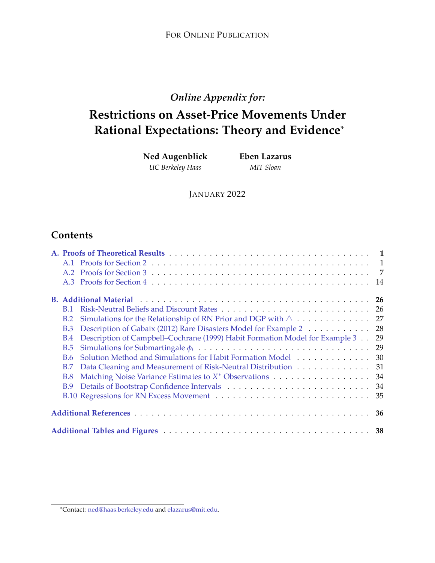# *Online Appendix for:*

# **Restrictions on Asset-Price Movements Under Rational Expectations: Theory and Evidence**\*

**Ned Augenblick** *UC Berkeley Haas*

**Eben Lazarus** *MIT Sloan*

JANUARY 2022

# **Contents**

|  | <b>B.1</b> |                                                                                |  |  |  |  |  |  |
|--|------------|--------------------------------------------------------------------------------|--|--|--|--|--|--|
|  | B.2        |                                                                                |  |  |  |  |  |  |
|  | B.3        | Description of Gabaix (2012) Rare Disasters Model for Example 2 28             |  |  |  |  |  |  |
|  | <b>B.4</b> | Description of Campbell-Cochrane (1999) Habit Formation Model for Example 3 29 |  |  |  |  |  |  |
|  | B.5        |                                                                                |  |  |  |  |  |  |
|  |            | B.6 Solution Method and Simulations for Habit Formation Model 30               |  |  |  |  |  |  |
|  | <b>B.7</b> | Data Cleaning and Measurement of Risk-Neutral Distribution 31                  |  |  |  |  |  |  |
|  | <b>B.8</b> | Matching Noise Variance Estimates to X <sup>*</sup> Observations 34            |  |  |  |  |  |  |
|  |            |                                                                                |  |  |  |  |  |  |
|  |            |                                                                                |  |  |  |  |  |  |
|  |            |                                                                                |  |  |  |  |  |  |
|  |            |                                                                                |  |  |  |  |  |  |

<sup>\*</sup>Contact: [ned@haas.berkeley.edu](mailto:ned@haas.berkeley.edu) and [elazarus@mit.edu.](mailto:elazarus@mit.edu)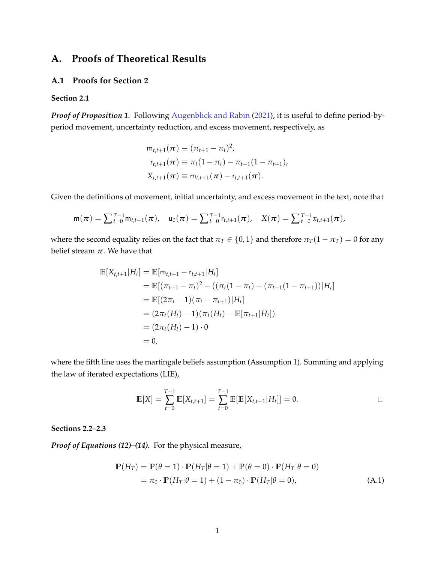# <span id="page-1-0"></span>**A. Proofs of Theoretical Results**

### <span id="page-1-1"></span>**A.1 Proofs for Section 2**

### **Section 2.1**

*Proof of Proposition 1.* Following [Augenblick and Rabin](#page-36-2) [\(2021\)](#page-36-2), it is useful to define period-byperiod movement, uncertainty reduction, and excess movement, respectively, as

$$
m_{t,t+1}(\pi) \equiv (\pi_{t+1} - \pi_t)^2,
$$
  
\n
$$
r_{t,t+1}(\pi) \equiv \pi_t(1 - \pi_t) - \pi_{t+1}(1 - \pi_{t+1}),
$$
  
\n
$$
X_{t,t+1}(\pi) \equiv m_{t,t+1}(\pi) - r_{t,t+1}(\pi).
$$

Given the definitions of movement, initial uncertainty, and excess movement in the text, note that

$$
m(\pi) = \sum_{t=0}^{T-1} m_{t,t+1}(\pi), \quad u_0(\pi) = \sum_{t=0}^{T-1} r_{t,t+1}(\pi), \quad X(\pi) = \sum_{t=0}^{T-1} x_{t,t+1}(\pi),
$$

where the second equality relies on the fact that  $\pi_T \in \{0, 1\}$  and therefore  $\pi_T(1 - \pi_T) = 0$  for any belief stream  $\pi$ . We have that

$$
\mathbb{E}[X_{t,t+1}|H_t] = \mathbb{E}[\mathsf{m}_{t,t+1} - \mathsf{r}_{t,t+1}|H_t]
$$
\n
$$
= \mathbb{E}[(\pi_{t+1} - \pi_t)^2 - ((\pi_t(1 - \pi_t) - (\pi_{t+1}(1 - \pi_{t+1}))|H_t])
$$
\n
$$
= \mathbb{E}[(2\pi_t - 1)(\pi_t - \pi_{t+1})|H_t]
$$
\n
$$
= (2\pi_t(H_t) - 1)(\pi_t(H_t) - \mathbb{E}[\pi_{t+1}|H_t])
$$
\n
$$
= (2\pi_t(H_t) - 1) \cdot 0
$$
\n
$$
= 0,
$$

where the fifth line uses the martingale beliefs assumption (Assumption 1). Summing and applying the law of iterated expectations (LIE),

<span id="page-1-2"></span>
$$
\mathbb{E}[X] = \sum_{t=0}^{T-1} \mathbb{E}[X_{t,t+1}] = \sum_{t=0}^{T-1} \mathbb{E}[\mathbb{E}[X_{t,t+1}|H_t]] = 0.
$$

#### **Sections 2.2–2.3**

*Proof of Equations (12)–(14).* For the physical measure,

$$
\mathbb{P}(H_T) = \mathbb{P}(\theta = 1) \cdot \mathbb{P}(H_T|\theta = 1) + \mathbb{P}(\theta = 0) \cdot \mathbb{P}(H_T|\theta = 0)
$$
  
=  $\pi_0 \cdot \mathbb{P}(H_T|\theta = 1) + (1 - \pi_0) \cdot \mathbb{P}(H_T|\theta = 0),$  (A.1)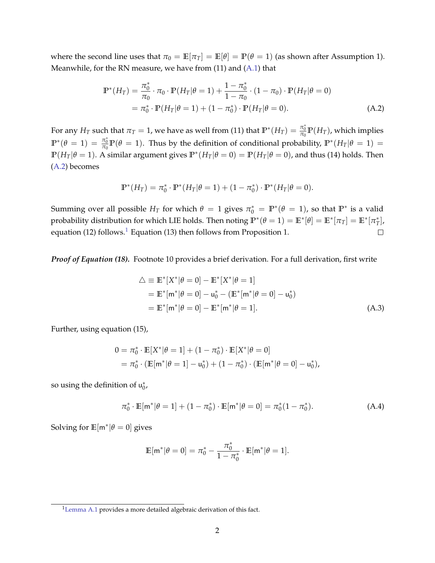where the second line uses that  $\pi_0 = \mathbb{E}[\pi_T] = \mathbb{E}[\theta] = \mathbb{P}(\theta = 1)$  (as shown after Assumption 1). Meanwhile, for the RN measure, we have from (11) and [\(A.1\)](#page-1-2) that

$$
\mathbb{P}^*(H_T) = \frac{\pi_0^*}{\pi_0} \cdot \pi_0 \cdot \mathbb{P}(H_T | \theta = 1) + \frac{1 - \pi_0^*}{1 - \pi_0} \cdot (1 - \pi_0) \cdot \mathbb{P}(H_T | \theta = 0)
$$
  
=  $\pi_0^* \cdot \mathbb{P}(H_T | \theta = 1) + (1 - \pi_0^*) \cdot \mathbb{P}(H_T | \theta = 0).$  (A.2)

For any  $H_T$  such that  $\pi_T=1$ , we have as well from (11) that  $\mathbb{P}^*(H_T)=\frac{\pi_0^*}{\pi_0}\mathbb{P}(H_T)$ , which implies  $\mathbb{P}^*(\theta = 1) = \frac{\pi_0^*}{\pi_0} \mathbb{P}(\theta = 1)$ . Thus by the definition of conditional probability,  $\mathbb{P}^*(H_T | \theta = 1) =$  $\mathbb{P}(H_T|\theta=1)$ . A similar argument gives  $\mathbb{P}^*(H_T|\theta=0) = \mathbb{P}(H_T|\theta=0)$ , and thus (14) holds. Then [\(A.2\)](#page-2-0) becomes

<span id="page-2-0"></span>
$$
\mathbb{P}^*(H_T) = \pi_0^* \cdot \mathbb{P}^*(H_T | \theta = 1) + (1 - \pi_0^*) \cdot \mathbb{P}^*(H_T | \theta = 0).
$$

Summing over all possible  $H_T$  for which  $\theta = 1$  gives  $\pi_0^* = \mathbb{P}^*(\theta = 1)$ , so that  $\mathbb{P}^*$  is a valid probability distribution for which LIE holds. Then noting  $\mathbb{P}^*(\theta = 1) = \mathbb{E}^*[\theta] = \mathbb{E}^*[\pi_T] = \mathbb{E}^*[\pi_T^*],$ equation ([1](#page-2-1)2) follows.<sup>1</sup> Equation (13) then follows from Proposition 1.  $\Box$ 

*Proof of Equation (18).* Footnote 10 provides a brief derivation. For a full derivation, first write

<span id="page-2-2"></span>
$$
\Delta \equiv \mathbb{E}^*[X^*|\theta = 0] - \mathbb{E}^*[X^*|\theta = 1] \n= \mathbb{E}^*[\mathbf{m}^*|\theta = 0] - \mathbf{u}_0^* - (\mathbb{E}^*[\mathbf{m}^*|\theta = 0] - \mathbf{u}_0^*) \n= \mathbb{E}^*[\mathbf{m}^*|\theta = 0] - \mathbb{E}^*[\mathbf{m}^*|\theta = 1].
$$
\n(A.3)

Further, using equation (15),

$$
0 = \pi_0^* \cdot \mathbb{E}[X^* | \theta = 1] + (1 - \pi_0^*) \cdot \mathbb{E}[X^* | \theta = 0]
$$
  
=  $\pi_0^* \cdot (\mathbb{E}[m^* | \theta = 1] - u_0^*) + (1 - \pi_0^*) \cdot (\mathbb{E}[m^* | \theta = 0] - u_0^*),$ 

so using the definition of  $u_0^*$ ,

$$
\pi_0^* \cdot \mathbb{E}[m^*|\theta = 1] + (1 - \pi_0^*) \cdot \mathbb{E}[m^*|\theta = 0] = \pi_0^*(1 - \pi_0^*).
$$
 (A.4)

Solving for  $\mathbb{E}[\mathsf{m}^*|\theta=0]$  gives

<span id="page-2-3"></span>
$$
\mathbb{E}[m^*|\theta=0] = \pi_0^* - \frac{\pi_0^*}{1-\pi_0^*} \cdot \mathbb{E}[m^*|\theta=1].
$$

<span id="page-2-1"></span><sup>&</sup>lt;sup>1</sup>[Lemma A.1](#page-11-0) provides a more detailed algebraic derivation of this fact.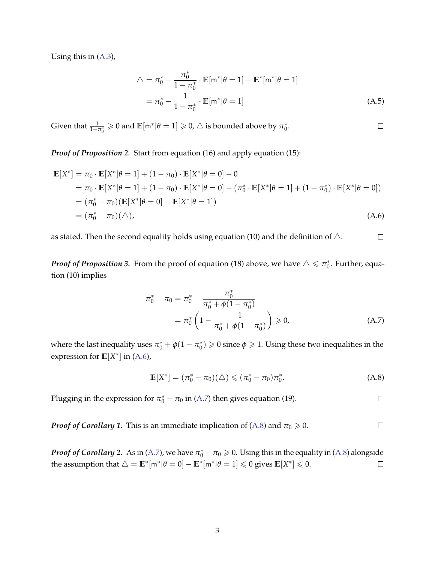Using this in [\(A.3\)](#page-2-2),

$$
\Delta = \pi_0^* - \frac{\pi_0^*}{1 - \pi_0^*} \cdot \mathbb{E}[\mathbf{m}^* | \theta = 1] - \mathbb{E}^*[\mathbf{m}^* | \theta = 1]
$$
  
=  $\pi_0^* - \frac{1}{1 - \pi_0^*} \cdot \mathbb{E}[\mathbf{m}^* | \theta = 1]$  (A.5)

<span id="page-3-3"></span><span id="page-3-0"></span> $\Box$ 

<span id="page-3-2"></span><span id="page-3-1"></span> $\Box$ 

Given that  $\frac{1}{1-\pi_0^*} \geqslant 0$  and  $\mathbb{E}[m^*|\theta=1] \geqslant 0$ ,  $\triangle$  is bounded above by  $\pi_0^*$ .

*Proof of Proposition 2.* Start from equation (16) and apply equation (15):

$$
\mathbb{E}[X^*] = \pi_0 \cdot \mathbb{E}[X^* | \theta = 1] + (1 - \pi_0) \cdot \mathbb{E}[X^* | \theta = 0] - 0
$$
  
\n
$$
= \pi_0 \cdot \mathbb{E}[X^* | \theta = 1] + (1 - \pi_0) \cdot \mathbb{E}[X^* | \theta = 0] - (\pi_0^* \cdot \mathbb{E}[X^* | \theta = 1] + (1 - \pi_0^*) \cdot \mathbb{E}[X^* | \theta = 0])
$$
  
\n
$$
= (\pi_0^* - \pi_0)(\mathbb{E}[X^* | \theta = 0] - \mathbb{E}[X^* | \theta = 1])
$$
  
\n
$$
= (\pi_0^* - \pi_0)(\triangle),
$$
  
\n(A.6)

as stated. Then the second equality holds using equation (10) and the definition of  $\triangle$ .  $\Box$ 

*Proof of Proposition* 3. From the proof of equation (18) above, we have  $\triangle \leqslant \pi_0^\ast$ . Further, equation (10) implies

$$
\pi_0^* - \pi_0 = \pi_0^* - \frac{\pi_0^*}{\pi_0^* + \phi(1 - \pi_0^*)}
$$
  
=  $\pi_0^* \left(1 - \frac{1}{\pi_0^* + \phi(1 - \pi_0^*)}\right) \ge 0,$  (A.7)

where the last inequality uses  $\pi_0^* + \phi(1 - \pi_0^*) \geqslant 0$  since  $\phi \geqslant 1$ . Using these two inequalities in the expression for  $\mathbb{E}[X^*]$  in [\(A.6\)](#page-3-0),

$$
\mathbb{E}[X^*] = (\pi_0^* - \pi_0)(\triangle) \le (\pi_0^* - \pi_0)\pi_0^*.
$$
 (A.8)

Plugging in the expression for  $\pi_0^* - \pi_0$  in [\(A.7\)](#page-3-1) then gives equation (19).

*Proof of Corollary 1.* This is an immediate implication of  $(A.8)$  and  $\pi_0 \ge 0$ .  $\Box$ 

*Proof of Corollary 2.* As in [\(A.7\)](#page-3-1), we have  $\pi_0^* - \pi_0 \geqslant 0$ . Using this in the equality in [\(A.8\)](#page-3-2) alongside the assumption that  $\triangle = \mathbb{E}^*[\mathsf{m}^*|\theta = 0] - \mathbb{E}^*[\mathsf{m}^*|\theta = 1] \leqslant 0$  gives  $\mathbb{E}[X^*] \leqslant 0$ .  $\Box$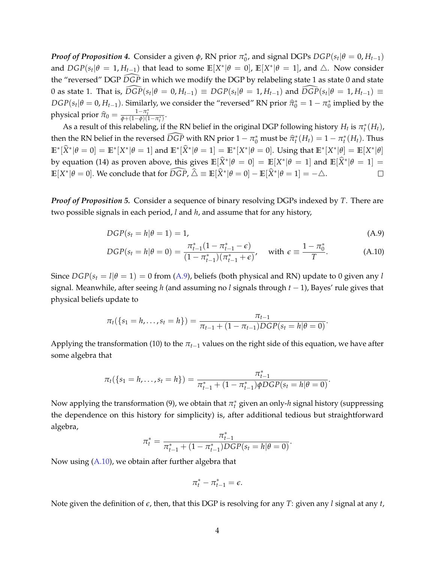*Proof of Proposition* 4. Consider a given  $\phi$ , RN prior  $\pi_0^*$ , and signal DGPs  $DGP(s_t | \theta = 0, H_{t-1})$ and  $DGP(s_t | \theta = 1, H_{t-1})$  that lead to some  $\mathbb{E}[X^* | \theta = 0]$ ,  $\mathbb{E}[X^* | \theta = 1]$ , and  $\triangle$ . Now consider the "reversed" DGP  $\widehat{DGP}$  in which we modify the DGP by relabeling state 1 as state 0 and state  $0$  as state 1. That is,  $\widehat{DGP}(s_t | \theta = 0, H_{t-1}) \equiv DGP(s_t | \theta = 1, H_{t-1})$  and  $\widehat{DGP}(s_t | \theta = 1, H_{t-1}) \equiv$  $DGP(s_t | \theta = 0, H_{t-1})$ . Similarly, we consider the "reversed" RN prior  $\hat{\pi}_0^* = 1 - \pi_0^*$  implied by the physical prior  $\widehat{\pi}_0 = \frac{1 - \pi_t^*}{\phi + (1 - \phi)(1 - \pi_t^*)}$ .

As a result of this relabeling, if the RN belief in the original DGP following history  $H_t$  is  $\pi_t^*(H_t)$ , then the RN belief in the reversed  $\widehat{DGP}$  with RN prior  $1 - \pi_0^*$  must be  $\widehat{\pi}_t^*(H_t) = 1 - \pi_t^*(H_t)$ . Thus  $\mathbb{E}^*[\widehat{X}^*|\theta=0]=\mathbb{E}^*[X^*|\theta=1]$  and  $\mathbb{E}^*[\widehat{X}^*|\theta=1]=\mathbb{E}^*[X^*|\theta=0].$  Using that  $\mathbb{E}^*[X^*|\theta]=\mathbb{E}[X^*|\theta]$ by equation (14) as proven above, this gives  $\mathbb{E}[\hat{X}^*|\theta = 0] = \mathbb{E}[X^*|\theta = 1]$  and  $\mathbb{E}[\hat{X}^*|\theta = 1] =$  $\mathbb{E}[X^*|\theta = 0]$ . We conclude that for  $\widehat{DGP}$ ,  $\widehat{\triangle} \equiv \mathbb{E}[\widehat{X}^*|\theta = 0] - \mathbb{E}[\widehat{X}^*|\theta = 1] = -\triangle$ .  $\Box$ 

*Proof of Proposition 5.* Consider a sequence of binary resolving DGPs indexed by *T*. There are two possible signals in each period, *l* and *h*, and assume that for any history,

<span id="page-4-0"></span>
$$
DGP(s_t = h | \theta = 1) = 1,\tag{A.9}
$$

<span id="page-4-1"></span>
$$
DGP(s_t = h | \theta = 0) = \frac{\pi_{t-1}^*(1 - \pi_{t-1}^* - \epsilon)}{(1 - \pi_{t-1}^*)(\pi_{t-1}^* + \epsilon)}, \quad \text{with } \epsilon \equiv \frac{1 - \pi_0^*}{T}.
$$
 (A.10)

Since  $DGP(s_t = l | \theta = 1) = 0$  from [\(A.9\)](#page-4-0), beliefs (both physical and RN) update to 0 given any *l* signal. Meanwhile, after seeing *h* (and assuming no *l* signals through *t* − 1), Bayes' rule gives that physical beliefs update to

$$
\pi_t(\{s_1 = h,\ldots,s_t = h\}) = \frac{\pi_{t-1}}{\pi_{t-1} + (1 - \pi_{t-1})DGP(s_t = h | \theta = 0)}.
$$

Applying the transformation (10) to the  $\pi_{t-1}$  values on the right side of this equation, we have after some algebra that

$$
\pi_t(\{s_1 = h, \ldots, s_t = h\}) = \frac{\pi_{t-1}^*}{\pi_{t-1}^* + (1 - \pi_{t-1}^*)\phi DGP(s_t = h | \theta = 0)}.
$$

Now applying the transformation (9), we obtain that  $\pi_t^*$  given an only-*h* signal history (suppressing the dependence on this history for simplicity) is, after additional tedious but straightforward algebra,

$$
\pi_t^* = \frac{\pi_{t-1}^*}{\pi_{t-1}^* + (1 - \pi_{t-1}^*)DGP(s_t = h | \theta = 0)}.
$$

Now using [\(A.10\)](#page-4-1), we obtain after further algebra that

$$
\pi^*_t - \pi^*_{t-1} = \epsilon.
$$

Note given the definition of *ϵ*, then, that this DGP is resolving for any *T*: given any *l* signal at any *t*,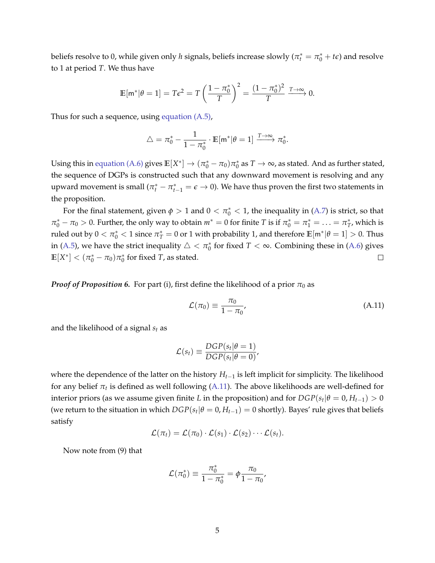beliefs resolve to 0, while given only *h* signals, beliefs increase slowly ( $\pi_t^* = \pi_0^* + t\epsilon$ ) and resolve to 1 at period *T*. We thus have

$$
\mathbb{E}[\mathsf{m}^*|\theta=1] = T\epsilon^2 = T\left(\frac{1-\pi_0^*}{T}\right)^2 = \frac{(1-\pi_0^*)^2}{T} \xrightarrow{T\to\infty} 0.
$$

Thus for such a sequence, using [equation \(A.5\),](#page-3-3)

$$
\triangle = \pi_0^* - \frac{1}{1 - \pi_0^*} \cdot \mathbb{E}[\mathsf{m}^* | \theta = 1] \xrightarrow{T \to \infty} \pi_0^*.
$$

Using this in [equation \(A.6\)](#page-3-0) gives  $\mathbb{E}[X^*] \to (\pi_0^* - \pi_0)\pi_0^*$  as  $T \to \infty$ , as stated. And as further stated, the sequence of DGPs is constructed such that any downward movement is resolving and any upward movement is small  $(\pi_t^* - \pi_{t-1}^* = \epsilon \to 0)$ . We have thus proven the first two statements in the proposition.

For the final statement, given  $\phi > 1$  and  $0 < \pi_0^* < 1$ , the inequality in [\(A.7\)](#page-3-1) is strict, so that  $\pi_0^* - \pi_0 > 0$ . Further, the only way to obtain  $m^* = 0$  for finite *T* is if  $\pi_0^* = \pi_1^* = \ldots = \pi_T^*$ , which is ruled out by  $0 < \pi_0^* < 1$  since  $\pi_T^* = 0$  or 1 with probability 1, and therefore  $\mathbb{E}[\mathsf{m}^*| \theta = 1] > 0$ . Thus in [\(A.5\)](#page-3-3), we have the strict inequality  $\triangle < \pi_0^*$  for fixed  $T < \infty$ . Combining these in [\(A.6\)](#page-3-0) gives  $\mathbb{E}[X^*] < (\pi_0^* - \pi_0)\pi_0^*$  for fixed *T*, as stated.  $\Box$ 

*Proof of Proposition 6.* For part (i), first define the likelihood of a prior  $\pi_0$  as

<span id="page-5-0"></span>
$$
\mathcal{L}(\pi_0) \equiv \frac{\pi_0}{1 - \pi_0},\tag{A.11}
$$

and the likelihood of a signal *s<sup>t</sup>* as

$$
\mathcal{L}(s_t) \equiv \frac{DGP(s_t|\theta=1)}{DGP(s_t|\theta=0)},
$$

where the dependence of the latter on the history *Ht*−<sup>1</sup> is left implicit for simplicity. The likelihood for any belief  $\pi_t$  is defined as well following [\(A.11\)](#page-5-0). The above likelihoods are well-defined for interior priors (as we assume given finite *L* in the proposition) and for  $DGP(s_t | \theta = 0, H_{t-1}) > 0$ (we return to the situation in which  $DGP(s_t | \theta = 0, H_{t-1}) = 0$  shortly). Bayes' rule gives that beliefs satisfy

$$
\mathcal{L}(\pi_t) = \mathcal{L}(\pi_0) \cdot \mathcal{L}(s_1) \cdot \mathcal{L}(s_2) \cdots \mathcal{L}(s_t).
$$

Now note from (9) that

$$
\mathcal{L}(\pi_0^*)\equiv\frac{\pi_0^*}{1-\pi_0^*}=\phi\frac{\pi_0}{1-\pi_0},
$$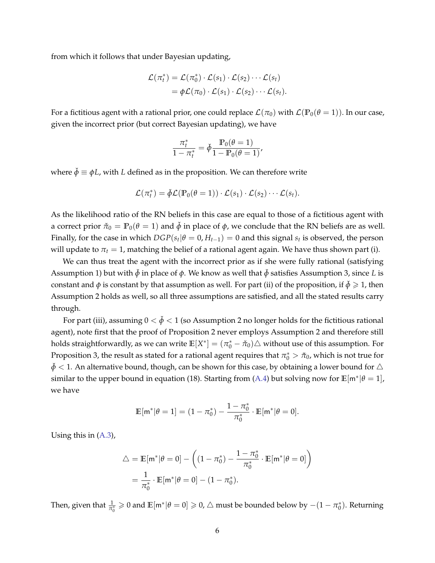from which it follows that under Bayesian updating,

$$
\mathcal{L}(\pi_t^*) = \mathcal{L}(\pi_0^*) \cdot \mathcal{L}(s_1) \cdot \mathcal{L}(s_2) \cdots \mathcal{L}(s_t) \n= \phi \mathcal{L}(\pi_0) \cdot \mathcal{L}(s_1) \cdot \mathcal{L}(s_2) \cdots \mathcal{L}(s_t).
$$

For a fictitious agent with a rational prior, one could replace  $\mathcal{L}(\pi_0)$  with  $\mathcal{L}(\mathbb{P}_0(\theta = 1))$ . In our case, given the incorrect prior (but correct Bayesian updating), we have

$$
\frac{\pi_t^*}{1 - \pi_t^*} = \check{\phi} \frac{\mathbb{P}_0(\theta = 1)}{1 - \mathbb{P}_0(\theta = 1)}
$$

,

where  $\check{\phi} \equiv \phi L$ , with *L* defined as in the proposition. We can therefore write

$$
\mathcal{L}(\pi_t^*) = \check{\phi} \mathcal{L}(\mathbb{P}_0(\theta = 1)) \cdot \mathcal{L}(s_1) \cdot \mathcal{L}(s_2) \cdots \mathcal{L}(s_t).
$$

As the likelihood ratio of the RN beliefs in this case are equal to those of a fictitious agent with a correct prior  $\tilde{\pi}_0 = \mathbb{P}_0(\theta = 1)$  and  $\check{\phi}$  in place of  $\phi$ , we conclude that the RN beliefs are as well. Finally, for the case in which  $DGP(s_t | \theta = 0, H_{t-1}) = 0$  and this signal  $s_t$  is observed, the person will update to  $\pi_t = 1$ , matching the belief of a rational agent again. We have thus shown part (i).

We can thus treat the agent with the incorrect prior as if she were fully rational (satisfying Assumption 1) but with  $\check{\phi}$  in place of  $\phi$ . We know as well that  $\check{\phi}$  satisfies Assumption 3, since *L* is constant and  $\phi$  is constant by that assumption as well. For part (ii) of the proposition, if  $\phi \geq 1$ , then Assumption 2 holds as well, so all three assumptions are satisfied, and all the stated results carry through.

For part (iii), assuming  $0 < \phi < 1$  (so Assumption 2 no longer holds for the fictitious rational agent), note first that the proof of Proposition 2 never employs Assumption 2 and therefore still holds straightforwardly, as we can write  $\mathbb{E}[X^*]=(\pi_0^*-\check{\pi}_0)\triangle$  without use of this assumption. For Proposition 3, the result as stated for a rational agent requires that  $\pi_0^* > \check{\pi}_0$ , which is not true for  $\check{\phi}$  < 1. An alternative bound, though, can be shown for this case, by obtaining a lower bound for ∆ similar to the upper bound in equation (18). Starting from [\(A.4\)](#page-2-3) but solving now for  $\mathbb{E}[\mathsf{m}^*|\theta=1]$ , we have

$$
\mathbb{E}[\mathsf{m}^*|\theta=1] = (1-\pi_0^*) - \frac{1-\pi_0^*}{\pi_0^*} \cdot \mathbb{E}[\mathsf{m}^*|\theta=0].
$$

Using this in [\(A.3\)](#page-2-2),

$$
\triangle = \mathbb{E}[\mathbf{m}^* | \theta = 0] - \left( (1 - \pi_0^*) - \frac{1 - \pi_0^*}{\pi_0^*} \cdot \mathbb{E}[\mathbf{m}^* | \theta = 0] \right)
$$

$$
= \frac{1}{\pi_0^*} \cdot \mathbb{E}[\mathbf{m}^* | \theta = 0] - (1 - \pi_0^*).
$$

Then, given that  $\frac{1}{\pi_0^*} \geqslant 0$  and  $\mathbb{E}[\mathsf{m}^*|\theta=0]\geqslant 0$ ,  $\triangle$  must be bounded below by  $-(1-\pi_0^*)$ . Returning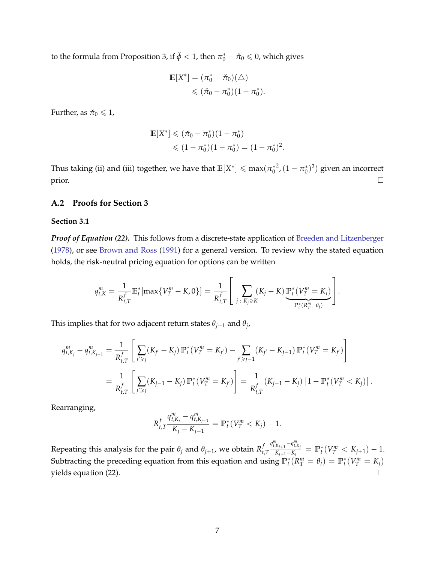to the formula from Proposition 3, if  $\check{\phi} < 1$ , then  $\pi_0^* - \check{\pi}_0 \leqslant 0$ , which gives

$$
\mathbb{E}[X^*] = (\pi_0^* - \check{\pi}_0)(\triangle)
$$
  
\$\leqslant (\check{\pi}\_0 - \pi\_0^\*)(1 - \pi\_0^\*).

Further, as  $\check{\pi}_0 \leq 1$ ,

$$
\mathbb{E}[X^*] \leq (\check{\pi}_0 - \pi_0^*)(1 - \pi_0^*)
$$
  

$$
\leq (1 - \pi_0^*)(1 - \pi_0^*) = (1 - \pi_0^*)^2.
$$

Thus taking (ii) and (iii) together, we have that  $\mathbb{E}[X^*] \leqslant \max(\pi_0^{*2},(1-\pi_0^*)^2)$  given an incorrect  $\Box$ prior.

### <span id="page-7-0"></span>**A.2 Proofs for Section 3**

#### **Section 3.1**

*Proof of Equation (22).* This follows from a discrete-state application of [Breeden and Litzenberger](#page-36-3) [\(1978\)](#page-36-3), or see [Brown and Ross](#page-36-4) [\(1991\)](#page-36-4) for a general version. To review why the stated equation holds, the risk-neutral pricing equation for options can be written

$$
q_{t,K}^m = \frac{1}{R_{t,T}^f} \mathbb{E}_t^*[\max\{V_T^m - K, 0\}] = \frac{1}{R_{t,T}^f} \left[ \sum_{j \,:\, K_j \geq K} (K_j - K) \underbrace{\mathbb{P}_t^*(V_T^m = K_j)}_{\mathbb{P}_t^*(R_T^m = \theta_j)} \right].
$$

This implies that for two adjacent return states *θj*−<sup>1</sup> and *θ<sup>j</sup>* ,

$$
q_{t,K_j}^m - q_{t,K_{j-1}}^m = \frac{1}{R_{t,T}^f} \left[ \sum_{j' \ge j} (K_{j'} - K_j) \mathbb{P}_t^*(V_T^m = K_{j'}) - \sum_{j' \ge j-1} (K_{j'} - K_{j-1}) \mathbb{P}_t^*(V_T^m = K_{j'}) \right]
$$
  
= 
$$
\frac{1}{R_{t,T}^f} \left[ \sum_{j' \ge j} (K_{j-1} - K_j) \mathbb{P}_t^*(V_T^m = K_{j'}) \right] = \frac{1}{R_{t,T}^f} (K_{j-1} - K_j) \left[ 1 - \mathbb{P}_t^*(V_T^m < K_j) \right]
$$

.

Rearranging,

$$
R_{t,T}^f \frac{q_{t,K_j}^m - q_{t,K_{j-1}}^m}{K_j - K_{j-1}} = \mathbb{P}_t^*(V_T^m < K_j) - 1.
$$

 $q_{t,K_{j+1}}^m - q_{t,K_j}^m$ Repeating this analysis for the pair  $\theta_j$  and  $\theta_{j+1}$ , we obtain  $R_t^f$  $\frac{K_{j+1}-K_j}{K_{j+1}-K_j} = \mathbb{P}_t^*(V_T^m < K_{j+1}) - 1.$ *t*,*T* Subtracting the preceding equation from this equation and using  $\mathbb{P}_t^*(\bar{R}_T^m = \theta_j) = \mathbb{P}_t^*(V_T^m = K_j)$ yields equation (22).  $\Box$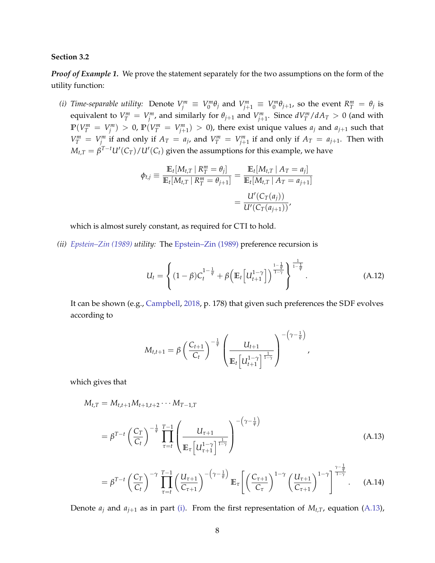#### **Section 3.2**

*Proof of Example 1.* We prove the statement separately for the two assumptions on the form of the utility function:

<span id="page-8-0"></span>(i) Time-separable utility: Denote  $V_j^m \equiv V_0^m \theta_j$  and  $V_{j+1}^m \equiv V_0^m \theta_{j+1}$ , so the event  $R_T^m = \theta_j$  is equivalent to  $V_T^m = V_j^m$ , and similarly for  $\theta_{j+1}$  and  $V_{j+1}^m$ . Since  $dV_T^m/dA_T > 0$  (and with  $\mathbb{P}(V_T^m = V_j^m) > 0$ ,  $\mathbb{P}(V_T^m = V_{j+1}^m) > 0$ ), there exist unique values  $a_j$  and  $a_{j+1}$  such that  $V_T^m = V_j^m$  if and only if  $A_T = a_j$ , and  $V_T^m = V_{j+1}^m$  if and only if  $A_T = a_{j+1}$ . Then with  $M_{t,T} = \beta^{T-t} U'(C_T) / U'(C_t)$  given the assumptions for this example, we have

$$
\phi_{t,j} \equiv \frac{\mathbb{E}_{t}[M_{t,T} | R_{T}^{m} = \theta_{j}]}{\mathbb{E}_{t}[M_{t,T} | R_{T}^{m} = \theta_{j+1}]} = \frac{\mathbb{E}_{t}[M_{t,T} | A_{T} = a_{j}]}{\mathbb{E}_{t}[M_{t,T} | A_{T} = a_{j+1}]} = \frac{U'(C_{T}(a_{j}))}{U'(C_{T}(a_{j+1}))},
$$

which is almost surely constant, as required for CTI to hold.

*(ii) [Epstein–Zin \(1989\)](#page-36-5) utility:* The [Epstein–Zin \(1989\)](#page-36-5) preference recursion is

<span id="page-8-2"></span>
$$
U_t = \left\{ (1 - \beta) C_t^{1 - \frac{1}{\psi}} + \beta \left( \mathbb{E}_t \left[ U_{t+1}^{1 - \gamma} \right] \right)^{\frac{1 - \frac{1}{\psi}}{1 - \frac{1}{\psi}}} \right\}^{\frac{1}{1 - \frac{1}{\psi}}}.
$$
 (A.12)

<span id="page-8-3"></span><span id="page-8-1"></span>,

It can be shown (e.g., [Campbell,](#page-36-6) [2018,](#page-36-6) p. 178) that given such preferences the SDF evolves according to

$$
M_{t,t+1} = \beta \left(\frac{C_{t+1}}{C_t}\right)^{-\frac{1}{\psi}} \left(\frac{U_{t+1}}{\mathbb{E}_t \left[U_{t+1}^{1-\gamma}\right]^{\frac{1}{1-\gamma}}}\right)^{-\left(\gamma-\frac{1}{\psi}\right)}
$$

which gives that

$$
M_{t,T} = M_{t,t+1}M_{t+1,t+2}\cdots M_{T-1,T}
$$
  
=  $\beta^{T-t} \left(\frac{C_T}{C_t}\right)^{-\frac{1}{\psi}} \prod_{\tau=t}^{T-1} \left(\frac{U_{\tau+1}}{\mathbb{E}_{\tau} \left[U_{\tau+1}^{1-\gamma}\right]^{\frac{1}{1-\gamma}}}\right)^{-\left(\gamma-\frac{1}{\psi}\right)}$  (A.13)

$$
= \beta^{T-t} \left(\frac{C_T}{C_t}\right)^{-\gamma} \prod_{\tau=t}^{T-1} \left(\frac{U_{\tau+1}}{C_{\tau+1}}\right)^{-\left(\gamma-\frac{1}{\psi}\right)} \mathbb{E}_{\tau} \left[ \left(\frac{C_{\tau+1}}{C_{\tau}}\right)^{1-\gamma} \left(\frac{U_{\tau+1}}{C_{\tau+1}}\right)^{1-\gamma} \right]^{\frac{\psi}{1-\gamma}}.
$$
 (A.14)

Denote  $a_j$  and  $a_{j+1}$  as in part [\(i\).](#page-8-0) From the first representation of  $M_{t,T}$ , equation [\(A.13\)](#page-8-1),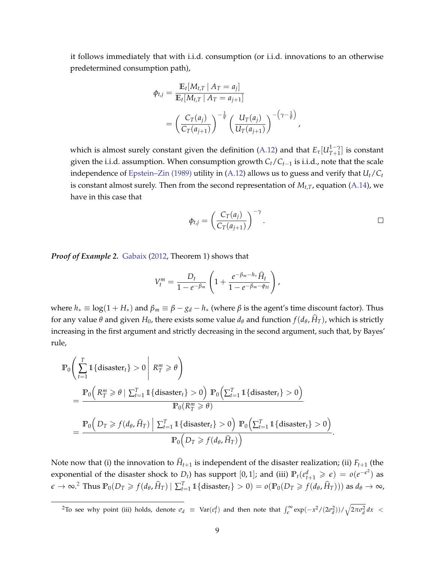it follows immediately that with i.i.d. consumption (or i.i.d. innovations to an otherwise predetermined consumption path),

$$
\begin{split} \phi_{t,j} &= \frac{\mathbb{E}_{t}[M_{t,T} \mid A_{T} = a_{j}]}{\mathbb{E}_{t}[M_{t,T} \mid A_{T} = a_{j+1}]} \\ &= \left(\frac{C_{T}(a_{j})}{C_{T}(a_{j+1})}\right)^{-\frac{1}{\psi}} \left(\frac{U_{T}(a_{j})}{U_{T}(a_{j+1})}\right)^{-\left(\gamma - \frac{1}{\psi}\right)}, \end{split}
$$

which is almost surely constant given the definition [\(A.12\)](#page-8-2) and that  $E_{\tau}[U_{T+1}^{1-\gamma}]$  $T_{T+1}^{1-\gamma}$ ] is constant given the i.i.d. assumption. When consumption growth *Ct*/*Ct*−<sup>1</sup> is i.i.d., note that the scale independence of [Epstein–Zin \(1989\)](#page-36-5) utility in [\(A.12\)](#page-8-2) allows us to guess and verify that *Ut*/*C<sup>t</sup>* is constant almost surely. Then from the second representation of  $M_{t,T}$ , equation [\(A.14\)](#page-8-3), we have in this case that

$$
\phi_{t,j} = \left(\frac{C_T(a_j)}{C_T(a_{j+1})}\right)^{-\gamma}.
$$

*Proof of Example 2.* [Gabaix](#page-36-0) [\(2012,](#page-36-0) Theorem 1) shows that

$$
V_t^m = \frac{D_t}{1 - e^{-\beta_m}} \left( 1 + \frac{e^{-\beta_m - h_*} \widehat{H}_t}{1 - e^{-\beta_m - \phi_H}} \right),
$$

where  $h_* \equiv \log(1 + H_*)$  and  $\beta_m \equiv \beta - g_d - h_*$  (where  $\beta$  is the agent's time discount factor). Thus for any value *θ* and given  $H_0$ , there exists some value  $d_\theta$  and function  $f(d_\theta, \hat{H}_T)$ , which is strictly increasing in the first argument and strictly decreasing in the second argument, such that, by Bayes' rule,

$$
\mathbb{P}_{0}\left(\sum_{t=1}^{T} \mathbb{1}\left\{\text{disaster}_{t}\right\} > 0 \middle| R_{T}^{m} \geq \theta\right)
$$
\n
$$
= \frac{\mathbb{P}_{0}\left(R_{T}^{m} \geq \theta \mid \sum_{t=1}^{T} \mathbb{1}\left\{\text{disaster}_{t}\right\} > 0\right) \mathbb{P}_{0}\left(\sum_{t=1}^{T} \mathbb{1}\left\{\text{disaster}_{t}\right\} > 0\right)}{\mathbb{P}_{0}(R_{T}^{m} \geq \theta)}
$$
\n
$$
= \frac{\mathbb{P}_{0}\left(D_{T} \geq f(d_{\theta}, \hat{H}_{T}) \middle| \sum_{t=1}^{T} \mathbb{1}\left\{\text{disaster}_{t}\right\} > 0\right) \mathbb{P}_{0}\left(\sum_{t=1}^{T} \mathbb{1}\left\{\text{disaster}_{t}\right\} > 0\right)}{\mathbb{P}_{0}\left(D_{T} \geq f(d_{\theta}, \hat{H}_{T})\right)}.
$$

Note now that (i) the innovation to  $\hat{H}_{t+1}$  is independent of the disaster realization; (ii)  $F_{t+1}$  (the exponential of the disaster shock to  $D_t$ ) has support  $[0,1]$ ; and (iii)  $\mathbb{P}_t(\varepsilon_{t+1}^d \geqslant \varepsilon) = o(e^{-\varepsilon^2})$  as  $\epsilon\to\infty$ .<sup>[2](#page-9-0)</sup> Thus  $\mathbb{P}_0(D_T\geq f(d_\theta,\widehat{H}_T)\mid\sum_{t=1}^T1\!\!1\{\text{disaster}_t\}>0)=o(\mathbb{P}_0(D_T\geq f(d_\theta,\widehat{H}_T)))$  as  $d_\theta\to\infty$ ,

<span id="page-9-0"></span><sup>2</sup>To see why point (iii) holds, denote  $σ_d$  ≡ Var( $ε_t^d$ ) and then note that  $\int_{ε}^\infty exp(-x^2/(2σ_d^2))/\sqrt{2πσ_d^2} dx$  <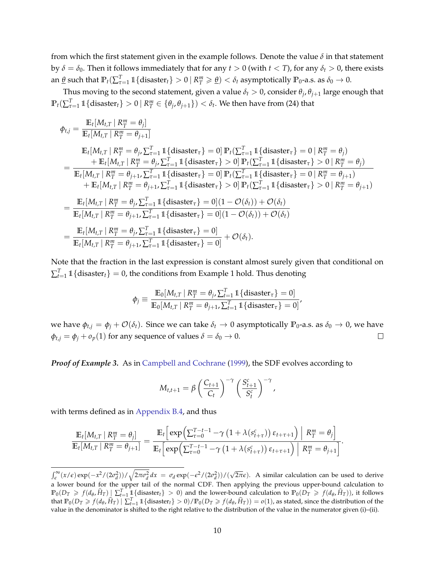from which the first statement given in the example follows. Denote the value *δ* in that statement by  $\delta = \delta_0$ . Then it follows immediately that for any  $t > 0$  (with  $t < T$ ), for any  $\delta_t > 0$ , there exists an <u> $\theta$ </u> such that  $\mathbb{P}_t(\sum_{\tau=1}^T \mathbb{1}\{\text{disaster}_t\} > 0 \mid R_T^m \geq \theta) < \delta_t$  asymptotically  $\mathbb{P}_0$ -a.s. as  $\delta_0 \to 0$ .

Thus moving to the second statement, given a value  $\delta_t > 0$ , consider  $\theta_j$ ,  $\theta_{j+1}$  large enough that  $\mathbb{P}_t(\sum_{\tau=1}^T \mathbb{1}\{\text{disaster}_t\} > 0 \ | \ R^m_T \in \{\theta_j, \theta_{j+1}\}) < \delta_t.$  We then have from (24) that

$$
\phi_{t,j} = \frac{\mathbb{E}_{t}[M_{t,T} | R_{T}^{m} = \theta_{j}]}{\mathbb{E}_{t}[M_{t,T} | R_{T}^{m} = \theta_{j+1}]}
$$
\n
$$
\mathbb{E}_{t}[M_{t,T} | R_{T}^{m} = \theta_{j}, \sum_{\tau=1}^{T} \mathbb{1} \{ \text{disaster}_{\tau} \} = 0] \mathbb{P}_{t}(\sum_{\tau=1}^{T} \mathbb{1} \{ \text{disaster}_{\tau} \} = 0 | R_{T}^{m} = \theta_{j})
$$
\n
$$
= \frac{+\mathbb{E}_{t}[M_{t,T} | R_{T}^{m} = \theta_{j}, \sum_{\tau=1}^{T} \mathbb{1} \{ \text{disaster}_{\tau} \} > 0] \mathbb{P}_{t}(\sum_{\tau=1}^{T} \mathbb{1} \{ \text{disaster}_{\tau} \} > 0 | R_{T}^{m} = \theta_{j})
$$
\n
$$
+ \mathbb{E}_{t}[M_{t,T} | R_{T}^{m} = \theta_{j+1}, \sum_{\tau=1}^{T} \mathbb{1} \{ \text{disaster}_{\tau} \} = 0] \mathbb{P}_{t}(\sum_{\tau=1}^{T} \mathbb{1} \{ \text{disaster}_{\tau} \} = 0 | R_{T}^{m} = \theta_{j+1})
$$
\n
$$
+ \mathbb{E}_{t}[M_{t,T} | R_{T}^{m} = \theta_{j+1}, \sum_{\tau=1}^{T} \mathbb{1} \{ \text{disaster}_{\tau} \} > 0] \mathbb{P}_{t}(\sum_{\tau=1}^{T} \mathbb{1} \{ \text{disaster}_{\tau} \} > 0 | R_{T}^{m} = \theta_{j+1})
$$
\n
$$
= \frac{\mathbb{E}_{t}[M_{t,T} | R_{T}^{m} = \theta_{j}, \sum_{\tau=1}^{T} \mathbb{1} \{ \text{disaster}_{\tau} \} = 0](1 - \mathcal{O}(\delta_{t})) + \mathcal{O}(\delta_{t})}{\mathbb{E}_{t}[M_{t,T} | R_{T}^{m} = \theta_{j+1}, \sum_{\tau=1}^{T} \mathbb{1} \{ \text{disaster}_{\tau} \} = 0](1 - \mathcal{O}(\delta_{t})) +
$$

Note that the fraction in the last expression is constant almost surely given that conditional on  $\sum_{t=1}^T \mathbb{1}\{\text{disaster}_t\} = 0$ , the conditions from Example 1 hold. Thus denoting

$$
\phi_j \equiv \frac{\mathbb{E}_0[M_{t,T} | R_T^m = \theta_j, \sum_{t=1}^T \mathbb{1}\{\text{disaster}_{\tau}\} = 0]}{\mathbb{E}_0[M_{t,T} | R_T^m = \theta_{j+1}, \sum_{t=1}^T \mathbb{1}\{\text{disaster}_{\tau}\} = 0]},
$$

we have  $\phi_{t,j} = \phi_j + \mathcal{O}(\delta_t)$ . Since we can take  $\delta_t \to 0$  asymptotically  $\mathbb{P}_0$ -a.s. as  $\delta_0 \to 0$ , we have  $\phi_{t,j} = \phi_j + o_p(1)$  for any sequence of values  $\delta = \delta_0 \rightarrow 0$ .  $\Box$ 

*Proof of Example 3.* As in [Campbell and Cochrane](#page-36-1) [\(1999\)](#page-36-1), the SDF evolves according to

$$
M_{t,t+1} = \beta \left(\frac{C_{t+1}}{C_t}\right)^{-\gamma} \left(\frac{S_{t+1}^c}{S_t^c}\right)^{-\gamma},
$$

with terms defined as in [Appendix B.4,](#page-29-0) and thus

$$
\frac{\mathbb{E}_{t}[M_{t,T} | R_{T}^{m} = \theta_{j}]}{\mathbb{E}_{t}[M_{t,T} | R_{T}^{m} = \theta_{j+1}]} = \frac{\mathbb{E}_{t}\left[\exp\left(\sum_{\tau=0}^{T-t-1} - \gamma\left(1 + \lambda(s_{t+\tau}^{c})\right)\varepsilon_{t+\tau+1}\right) \middle| R_{T}^{m} = \theta_{j}\right]}{\mathbb{E}_{t}\left[\exp\left(\sum_{\tau=0}^{T-t-1} - \gamma\left(1 + \lambda(s_{t+\tau}^{c})\right)\varepsilon_{t+\tau+1}\right) \middle| R_{T}^{m} = \theta_{j+1}\right]}.
$$

 $\int_{\epsilon}^{\infty} (x/\epsilon) \exp(-x^2/(2\sigma_d^2))/\sqrt{2\pi \sigma_d^2} dx = \sigma_d \exp(-\epsilon^2/(2\sigma_d^2))/(\sqrt{2\pi \epsilon})$ . A similar calculation can be used to derive a lower bound for the upper tail of the normal CDF. Then applying the previous upper-bound calculation to  $\mathbb{P}_0(D_T \geq f(d_\theta, \hat{H}_T) \geq \sum_{t=1}^T \mathbb{1}\{\text{disaster}_t\} > 0)$  and the lower-bound calculation to  $\mathbb{P}_0(D_T \geq f(d_\theta, \hat{H}_T))$ , it follows that  $\mathbb{P}_0(D_T \geq f(d_\theta, \hat{H}_T) | \sum_{t=1}^T \mathbb{1}\{\text{disaster}_t\} > 0) / \mathbb{P}_0(D_T \geq f(d_\theta, \hat{H}_T)) = o(1)$ , as stated, since the distribution of the value in the denominator is shifted to the right relative to the distribution of the value in the numerator given (i)–(ii).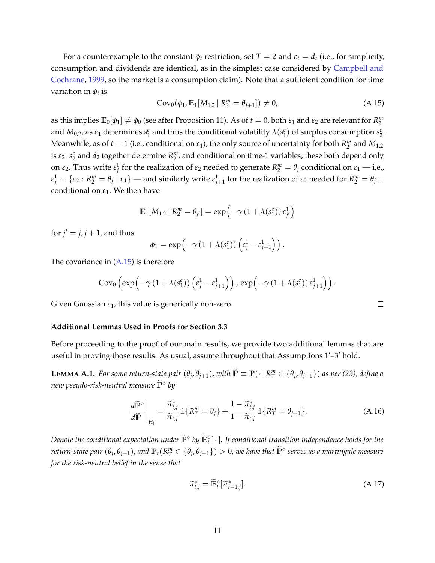For a counterexample to the constant- $\phi_t$  restriction, set  $T = 2$  and  $c_t = d_t$  (i.e., for simplicity, consumption and dividends are identical, as in the simplest case considered by [Campbell and](#page-36-1) [Cochrane,](#page-36-1) [1999,](#page-36-1) so the market is a consumption claim). Note that a sufficient condition for time variation in *ϕ<sup>t</sup>* is

<span id="page-11-1"></span>
$$
Cov_0(\phi_1, \mathbb{E}_1[M_{1,2} \mid R_2^m = \theta_{j+1}]) \neq 0,
$$
\n(A.15)

as this implies  $\mathbb{E}_0[\phi_1] \neq \phi_0$  (see after Proposition 11). As of  $t = 0$ , both  $\varepsilon_1$  and  $\varepsilon_2$  are relevant for  $R_2^m$ and  $M_{0,2}$ , as  $\varepsilon_1$  determines  $s_1^c$  and thus the conditional volatility  $\lambda(s_1^c)$  of surplus consumption  $s_2^c$ . Meanwhile, as of  $t = 1$  (i.e., conditional on  $\varepsilon_1$ ), the only source of uncertainty for both  $R_2^m$  and  $M_{1,2}$ is  $\varepsilon_2$ :  $s_2^c$  and  $d_2$  together determine  $R_2^m$ , and conditional on time-1 variables, these both depend only on *ε*<sub>2</sub>. Thus write  $ε_j^1$  for the realization of  $ε_2$  needed to generate  $R_2^m = θ_j$  conditional on  $ε_1$  — i.e.,  $\epsilon_j^1\equiv\{\epsilon_2: R_2^m=\theta_j\mid\epsilon_1\}$  — and similarly write  $\epsilon_{j+1}^1$  for the realization of  $\epsilon_2$  needed for  $R_2^m=\theta_{j+1}$ conditional on  $\varepsilon_1$ . We then have

$$
\mathbb{E}_1[M_{1,2} | R_2^m = \theta_{j'}] = \exp\left(-\gamma \left(1 + \lambda(s_1^c)\right) \varepsilon_{j'}^1\right)
$$

for  $j' = j$ ,  $j + 1$ , and thus

$$
\phi_1 = \exp\left(-\gamma \left(1 + \lambda(s_1^c)\right) \left(\epsilon_j^1 - \epsilon_{j+1}^1\right)\right).
$$

The covariance in  $(A.15)$  is therefore

$$
Cov_0\left(\exp\left(-\gamma\left(1+\lambda(s_1^c)\right)\left(\epsilon_j^1-\epsilon_{j+1}^1\right)\right),\exp\left(-\gamma\left(1+\lambda(s_1^c)\right)\epsilon_{j+1}^1\right)\right).
$$

Given Gaussian *ε*1, this value is generically non-zero.

#### **Additional Lemmas Used in Proofs for Section 3.3**

Before proceeding to the proof of our main results, we provide two additional lemmas that are useful in proving those results. As usual, assume throughout that Assumptions 1′–3′ hold.

<span id="page-11-0"></span>**LEMMA A.1.** For some return-state pair  $(\theta_j, \theta_{j+1})$ , with  $\widetilde{\mathbb{P}} \equiv \mathbb{P}(\cdot \mid R_T^m \in \{\theta_j, \theta_{j+1}\})$  as per (23), define a *new pseudo-risk-neutral measure* **<sup>P</sup>**e<sup>⋄</sup> *by*

$$
\frac{d\widetilde{\mathbb{P}}^{\diamond}}{d\widetilde{\mathbb{P}}}\bigg|_{H_t} = \frac{\widetilde{\pi}_{t,j}^*}{\widetilde{\pi}_{t,j}} \, \mathbb{1}\{R_T^m = \theta_j\} + \frac{1 - \widetilde{\pi}_{t,j}^*}{1 - \widetilde{\pi}_{t,j}} \, \mathbb{1}\{R_T^m = \theta_{j+1}\}.
$$
\n(A.16)

*Denote the conditional expectation under*  $\widetilde{\mathbb{P}}^\diamond$  *by*  $\widetilde{\mathbb{E}}^\diamond_t[\,\cdot\,]$ . If conditional transition independence holds for the return-state pair  $(\theta_j,\theta_{j+1})$ , and  $\mathbb{P}_t(R_ T^m\in\{\theta_j,\theta_{j+1}\})>0$ , we have that  $\widetilde{\mathbb{P}}^\diamond$  serves as a martingale measure *for the risk-neutral belief in the sense that*

<span id="page-11-3"></span>
$$
\widetilde{\pi}_{t,j}^* = \widetilde{\mathbb{E}}_t^{\diamond} [\widetilde{\pi}_{t+1,j}^*]. \tag{A.17}
$$

<span id="page-11-2"></span> $\Box$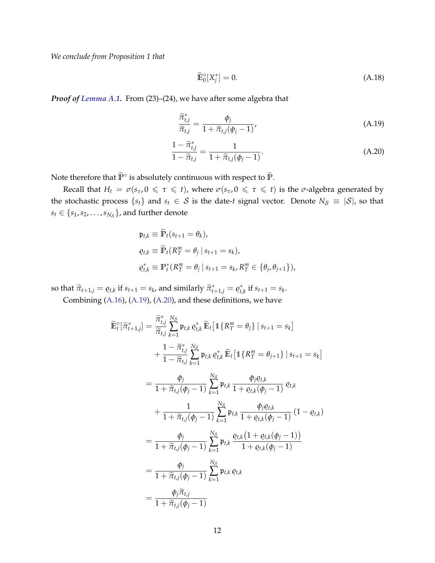*We conclude from Proposition 1 that*

<span id="page-12-2"></span><span id="page-12-1"></span><span id="page-12-0"></span>
$$
\widetilde{\mathbb{E}}_0^{\diamond}[X_j^*] = 0. \tag{A.18}
$$

*Proof of [Lemma A.1.](#page-11-0)* From (23)–(24), we have after some algebra that

$$
\frac{\widetilde{\pi}_{t,j}^*}{\widetilde{\pi}_{t,j}} = \frac{\phi_j}{1 + \widetilde{\pi}_{t,j}(\phi_j - 1)},\tag{A.19}
$$

$$
\frac{1 - \tilde{\pi}_{t,j}^*}{1 - \tilde{\pi}_{t,j}} = \frac{1}{1 + \tilde{\pi}_{t,j}(\phi_j - 1)}.
$$
\n(A.20)

Note therefore that  $\widetilde{\mathbb{P}}^{\diamond}$  is absolutely continuous with respect to  $\widetilde{\mathbb{P}}$ .

Recall that  $H_t = \sigma(s_\tau, 0 \leq \tau \leq t)$ , where  $\sigma(s_\tau, 0 \leq \tau \leq t)$  is the  $\sigma$ -algebra generated by the stochastic process  $\{s_t\}$  and  $s_t \in S$  is the date-*t* signal vector. Denote  $N_S \equiv |S|$ , so that  $s_t \in \{s_1, s_2, \ldots, s_{N_{\mathcal{S}}}\}$ , and further denote

$$
\begin{aligned} \mathfrak{p}_{t,k} &\equiv \mathbb{\tilde{P}}_t(s_{t+1} = \theta_k), \\ \varrho_{t,k} &\equiv \mathbb{\tilde{P}}_t(R_T^m = \theta_j \, | \, s_{t+1} = s_k), \\ \varrho_{t,k}^* &\equiv \mathbb{P}_t^*(R_T^m = \theta_j \, | \, s_{t+1} = s_k, R_T^m \in \{ \theta_j, \theta_{j+1} \}), \end{aligned}
$$

so that  $\widetilde{\pi}_{t+1,j} = \varrho_{t,k}$  if  $s_{t+1} = s_k$ , and similarly  $\widetilde{\pi}_{t+1,j}^* = \varrho_{t,j}^*$  $t_{t,k}^*$  if  $s_{t+1} = s_k$ .

Combining [\(A.16\)](#page-11-2), [\(A.19\)](#page-12-0), [\(A.20\)](#page-12-1), and these definitions, we have

$$
\widetilde{\mathbb{E}}_{t}^{\diamond}[\widetilde{\pi}_{t+1,j}^{*}] = \frac{\widetilde{\pi}_{t,j}^{*}}{\widetilde{\pi}_{t,j}} \sum_{k=1}^{N_{S}} \mathfrak{p}_{t,k} \varrho_{t,k}^{*} \widetilde{\mathbb{E}}_{t} [\mathbb{1} \{ R_{T}^{m} = \theta_{j} \} | s_{t+1} = s_{k}] \n+ \frac{1 - \widetilde{\pi}_{t,j}^{*}}{1 - \widetilde{\pi}_{t,j}} \sum_{k=1}^{N_{S}} \mathfrak{p}_{t,k} \varrho_{t,k}^{*} \widetilde{\mathbb{E}}_{t} [\mathbb{1} \{ R_{T}^{m} = \theta_{j+1} \} | s_{t+1} = s_{k}] \n= \frac{\phi_{j}}{1 + \widetilde{\pi}_{t,j}(\phi_{j} - 1)} \sum_{k=1}^{N_{S}} \mathfrak{p}_{t,k} \frac{\phi_{j}\varrho_{t,k}}{1 + \varrho_{t,k}(\phi_{j} - 1)} \varrho_{t,k} \n+ \frac{1}{1 + \widetilde{\pi}_{t,j}(\phi_{j} - 1)} \sum_{k=1}^{N_{S}} \mathfrak{p}_{t,k} \frac{\phi_{j}\varrho_{t,k}}{1 + \varrho_{t,k}(\phi_{j} - 1)} (1 - \varrho_{t,k}) \n= \frac{\phi_{j}}{1 + \widetilde{\pi}_{t,j}(\phi_{j} - 1)} \sum_{k=1}^{N_{S}} \mathfrak{p}_{t,k} \frac{\varrho_{t,k} (1 + \varrho_{t,k}(\phi_{j} - 1))}{1 + \varrho_{t,k}(\phi_{j} - 1)} \n= \frac{\phi_{j}}{1 + \widetilde{\pi}_{t,j}(\phi_{j} - 1)} \sum_{k=1}^{N_{S}} \mathfrak{p}_{t,k} \varrho_{t,k} \n= \frac{\varphi_{j} \widetilde{\pi}_{t,j}}{1 + \widetilde{\pi}_{t,j}(\phi_{j} - 1)}
$$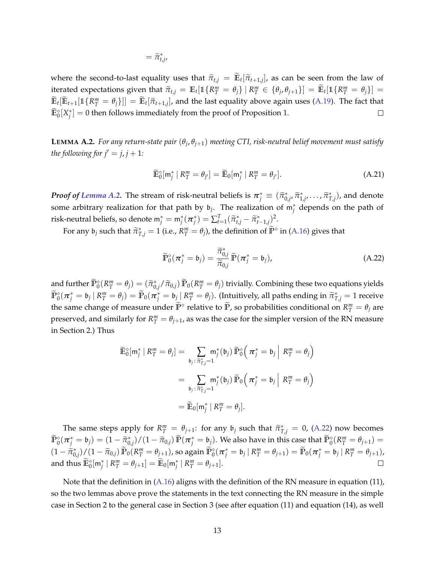$$
=\widetilde{\pi}_{t,j}^*,
$$

where the second-to-last equality uses that  $\tilde{\pi}_{t,j} = \mathbb{E}_t[\tilde{\pi}_{t+1,j}]$ , as can be seen from the law of iterated expectations given that  $\widetilde{\pi}_{t,j} = \mathbb{E}_t[\mathbb{1}\{R_T^m = \theta_j\} | R_T^m \in {\theta_j, \theta_{j+1}}\}] = \widetilde{\mathbb{E}}_t[\mathbb{1}\{R_T^m = \theta_j\}] = \widetilde{\pi}_{t,j}[\pi_{t,j}]$  $\mathbb{E}_t[\mathbb{E}_{t+1}[\mathbb{1}\{R^m_T = \theta_j\}]] = \mathbb{E}_t[\tilde{\pi}_{t+1,j}]$ , and the last equality above again uses [\(A.19\)](#page-12-0). The fact that  $\tilde{\pi}_{t+1}$  $\widetilde{\mathbb{E}}^{\diamond}_0[X^*_j]=0$  then follows immediately from the proof of Proposition 1.  $\Box$ 

<span id="page-13-0"></span>**LEMMA A.2.** *For any return-state pair* (*θ<sup>j</sup>* , *θj*+1) *meeting CTI, risk-neutral belief movement must satisfy the following for*  $j' = j, j + 1$ *:* 

<span id="page-13-2"></span>
$$
\widetilde{\mathbb{E}}_0^{\diamond}[m_j^* \mid R_T^m = \theta_{j'}] = \widetilde{\mathbb{E}}_0[m_j^* \mid R_T^m = \theta_{j'}]. \tag{A.21}
$$

*Proof of [Lemma A.2.](#page-13-0)* The stream of risk-neutral beliefs is  $\pi_j^* \equiv (\tilde{\pi}_{0,j}^*, \tilde{\pi}_{1,j}^*, \dots, \tilde{\pi}_{T,j}^*)$ , and denote some arbitrary realization for that path by  $\mathfrak{b}_j$ . The realization of  $\mathsf{m}_j^*$  depends on the path of risk-neutral beliefs, so denote  $m_j^* = m_j^*(\pi_j^*) = \sum_{t=1}^T (\tilde{\pi}_{t,j}^* - \tilde{\pi}_{t-1,j}^*)^2$ .

For any  $\mathfrak{b}_j$  such that  $\widetilde{\pi}_{T,j}^* = 1$  (i.e.,  $R_T^m = \theta_j$ ), the definition of  $\widetilde{\mathbb{P}}^\diamond$  in [\(A.16\)](#page-11-2) gives that

<span id="page-13-1"></span>
$$
\widetilde{\mathbb{P}}_0^{\diamond}(\boldsymbol{\pi}_j^* = \mathfrak{b}_j) = \frac{\widetilde{\pi}_{0,j}^*}{\widetilde{\pi}_{0,j}} \widetilde{\mathbb{P}}(\boldsymbol{\pi}_j^* = \mathfrak{b}_j), \tag{A.22}
$$

and further  $\widetilde{\mathbb{P}}_0^{\diamond}(R_T^m = \theta_j) = (\widetilde{\pi}_{0,j}^*/\widetilde{\pi}_{0,j}) \widetilde{\mathbb{P}}_0(R_T^m = \theta_j)$  trivially. Combining these two equations yields  $\widetilde{\mathbb{P}}^{\diamond}_0(\bm{\pi}^*_j=\mathfrak{b}_j\,|\,R^m_T=\theta_j)=\widetilde{\mathbb{P}}_0(\bm{\pi}^*_j=\mathfrak{b}_j\,|\,R^m_T=\theta_j).$  (Intuitively, all paths ending in  $\widetilde{\pi}^*_{T,j}=1$  receive the same change of measure under  $\widetilde{P}^{\diamond}$  relative to  $\widetilde{P}$ , so probabilities conditional on  $R_T^m = \theta_j$  are preserved, and similarly for  $R_T^m = \theta_{j+1}$ , as was the case for the simpler version of the RN measure in Section 2.) Thus

$$
\widetilde{\mathbb{E}}_{0}^{\diamond}[\mathbf{m}_{j}^{*} | R_{T}^{m} = \theta_{j}] = \sum_{\mathfrak{b}_{j} : \widetilde{\pi}_{T,j}^{*} = 1} \mathbf{m}_{j}^{*}(\mathfrak{b}_{j}) \widetilde{\mathbb{P}}_{0}^{\diamond} \Big(\pi_{j}^{*} = \mathfrak{b}_{j} \Big| R_{T}^{m} = \theta_{j} \Big)
$$
\n
$$
= \sum_{\mathfrak{b}_{j} : \widetilde{\pi}_{T,j}^{*} = 1} \mathbf{m}_{j}^{*}(\mathfrak{b}_{j}) \widetilde{\mathbb{P}}_{0} \Big(\pi_{j}^{*} = \mathfrak{b}_{j} \Big| R_{T}^{m} = \theta_{j} \Big)
$$
\n
$$
= \widetilde{\mathbb{E}}_{0}[\mathbf{m}_{j}^{*} | R_{T}^{m} = \theta_{j}].
$$

The same steps apply for  $R_{\perp}^{m} = \theta_{j+1}$ : for any  $\theta_j$  such that  $\tilde{\pi}_{T,j}^{*} = 0$ , [\(A.22\)](#page-13-1) now becomes  $\widetilde{\mathbb{P}}_0^{\diamond}(\boldsymbol{\pi}_j^* = \mathfrak{b}_j) = (1 - \widetilde{\pi}_{0,j}^*) / (1 - \widetilde{\pi}_{0,j}) \widetilde{\mathbb{P}}(\boldsymbol{\pi}_j^* = \mathfrak{b}_j).$  We also have in this case that  $\widetilde{\mathbb{P}}_0^{\diamond}(\mathcal{R}_T^m = \theta_{j+1}) =$  $(1-\widetilde{\pi}_{0,j}^*)/(1-\widetilde{\pi}_{0,j})\widetilde{\mathbb{P}}_0(R_1^m=\theta_{j+1})$ , so again  $\widetilde{\mathbb{P}}_0^{\diamond}(\pi_j^*=\mathfrak{b}_j \mid R_1^m=\theta_{j+1}) = \widetilde{\mathbb{P}}_0(\pi_j^*=\mathfrak{b}_j \mid R_1^m=\theta_{j+1})$ and thus  $\widetilde{\mathbb{E}}_0^{\diamond}[\mathsf{m}_j^* \mid R_T^m = \theta_{j+1}] = \widetilde{\mathbb{E}}_0[\mathsf{m}_j^* \mid R_T^m = \theta_{j+1}].$  $\Box$ 

Note that the definition in [\(A.16\)](#page-11-2) aligns with the definition of the RN measure in equation (11), so the two lemmas above prove the statements in the text connecting the RN measure in the simple case in Section 2 to the general case in Section 3 (see after equation (11) and equation (14), as well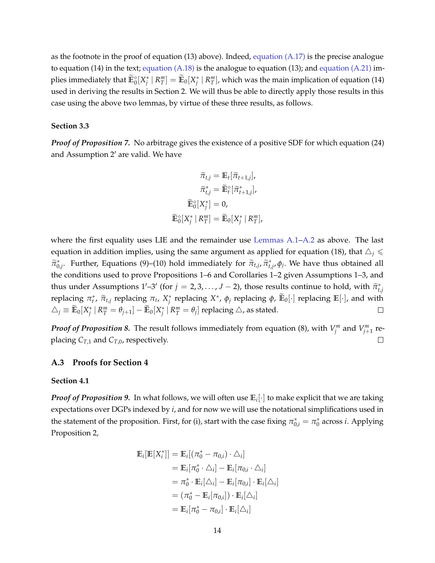as the footnote in the proof of equation (13) above). Indeed, [equation \(A.17\)](#page-11-3) is the precise analogue to equation (14) in the text; [equation \(A.18\)](#page-12-2) is the analogue to equation (13); and [equation \(A.21\)](#page-13-2) implies immediately that  $\widetilde{\mathbb{E}}^{\diamond}_0[X^*_j\mid R^m_T]=\widetilde{\mathbb{E}}_0[X^*_j\mid R^m_T]$ , which was the main implication of equation (14) used in deriving the results in Section 2. We will thus be able to directly apply those results in this case using the above two lemmas, by virtue of these three results, as follows.

#### **Section 3.3**

*Proof of Proposition 7.* No arbitrage gives the existence of a positive SDF for which equation (24) and Assumption 2′ are valid. We have

$$
\widetilde{\pi}_{t,j} = \mathbb{E}_t[\widetilde{\pi}_{t+1,j}],
$$

$$
\widetilde{\pi}_{t,j}^* = \widetilde{\mathbb{E}}_t^\diamond[\widetilde{\pi}_{t+1,j}^*],
$$

$$
\widetilde{\mathbb{E}}_0^\diamond[X_j^*] = 0,
$$

$$
\widetilde{\mathbb{E}}_0^\diamond[X_j^* \mid R_T^m] = \widetilde{\mathbb{E}}_0[X_j^* \mid R_T^m],
$$

where the first equality uses LIE and the remainder use [Lemmas A.1](#page-11-0)[–A.2](#page-13-0) as above. The last equation in addition implies, using the same argument as applied for equation (18), that  $\triangle_i$   $\leq$  $\tilde{\pi}_{0,j}^*$ . Further, Equations (9)–(10) hold immediately for  $\tilde{\pi}_{t,j}$ ,  $\tilde{\pi}_{t,j}^*$ ,  $\phi_j$ . We have thus obtained all the conditions used to prove Propositions 1–6 and Corollaries 1–2 given Assumptions 1–3, and thus under Assumptions  $1'-3'$  (for  $j = 2, 3, ..., J - 2$ ), those results continue to hold, with  $\tilde{\pi}_{t,j}^*$ *t*eplacing *π*<sup>*t*</sup>,  $\tilde{\pi}_{t,j}$  replacing *π*<sub>*t*</sub>, *X*<sup>\*</sup> replacing *X*<sup>\*</sup>, *ϕ*<sub>*j*</sub> replacing *ϕ*,  $\tilde{E}_0[\cdot]$  replacing  $E[\cdot]$ , and with  $\triangle_j \equiv \widetilde{\mathbb{E}}_0[X^*_j \mid R^m_T = \theta_{j+1}] - \widetilde{\mathbb{E}}_0[X^*_j \mid R^m_T = \theta_{j}]$  replacing  $\triangle$ , as stated.  $\Box$ 

*Proof of Proposition 8.* The result follows immediately from equation (8), with  $V_j^m$  and  $V_{j+1}^m$  replacing  $C_{T,1}$  and  $C_{T,0}$ , respectively.  $\Box$ 

### <span id="page-14-0"></span>**A.3 Proofs for Section 4**

#### **Section 4.1**

*Proof of Proposition 9.* In what follows, we will often use **E***<sup>i</sup>* [·] to make explicit that we are taking expectations over DGPs indexed by *i*, and for now we will use the notational simplifications used in the statement of the proposition. First, for (i), start with the case fixing  $\pi_{0,i}^* = \pi_0^*$  across *i*. Applying Proposition 2,

$$
\mathbb{E}_{i}[\mathbb{E}[X_{i}^{*}]] = \mathbb{E}_{i}[(\pi_{0}^{*} - \pi_{0,i}) \cdot \Delta_{i}]
$$
\n
$$
= \mathbb{E}_{i}[\pi_{0}^{*} \cdot \Delta_{i}] - \mathbb{E}_{i}[\pi_{0,i} \cdot \Delta_{i}]
$$
\n
$$
= \pi_{0}^{*} \cdot \mathbb{E}_{i}[\Delta_{i}] - \mathbb{E}_{i}[\pi_{0,i}] \cdot \mathbb{E}_{i}[\Delta_{i}]
$$
\n
$$
= (\pi_{0}^{*} - \mathbb{E}_{i}[\pi_{0,i}] ) \cdot \mathbb{E}_{i}[\Delta_{i}]
$$
\n
$$
= \mathbb{E}_{i}[\pi_{0}^{*} - \pi_{0,i}] \cdot \mathbb{E}_{i}[\Delta_{i}]
$$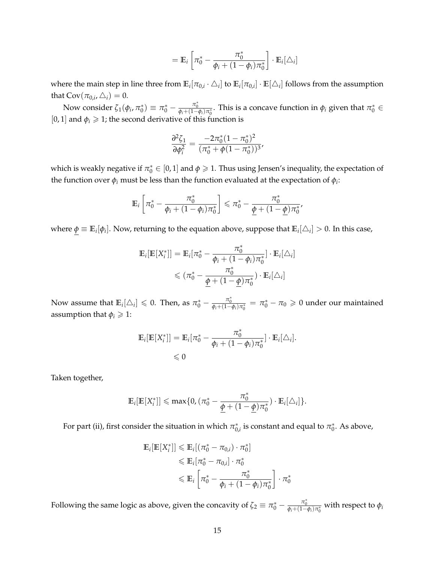$$
= \mathbb{E}_i \left[ \pi_0^* - \frac{\pi_0^*}{\phi_i + (1 - \phi_i)\pi_0^*} \right] \cdot \mathbb{E}_i[\triangle_i]
$$

where the main step in line three from  $\mathbb{E}_i[\pi_{0,i}\cdot\triangle_i]$  to  $\mathbb{E}_i[\pi_{0,i}]\cdot\mathbb{E}[\triangle_i]$  follows from the assumption that  $\text{Cov}(\pi_{0,i}, \triangle_i) = 0$ .

Now consider  $\zeta_1(\phi_i, \pi_0^*)$  ≡  $\pi_0^* - \frac{\pi_0^*}{\phi_i + (1-\phi_i)\pi_0^*}$ . This is a concave function in  $\phi_i$  given that  $\pi_0^*$  ∈ [0, 1] and  $\phi$ <sup>*i*</sup>  $\geq$  1; the second derivative of this function is

$$
\frac{\partial^2 \zeta_1}{\partial \phi_i^2} = \frac{-2\pi_0^*(1-\pi_0^*)^2}{(\pi_0^* + \phi(1-\pi_0^*))^3},
$$

which is weakly negative if  $\pi_0^*\in[0,1]$  and  $\phi\geqslant1.$  Thus using Jensen's inequality, the expectation of the function over *ϕ<sup>i</sup>* must be less than the function evaluated at the expectation of *ϕ<sup>i</sup>* :

$$
\mathbb{E}_i\left[\pi_0^* - \frac{\pi_0^*}{\phi_i + (1-\phi_i)\pi_0^*}\right] \leq \pi_0^* - \frac{\pi_0^*}{\underline{\phi} + (1-\underline{\phi})\pi_0^*}
$$

where  $\phi \equiv \mathbb{E}_i[\phi_i]$ . Now, returning to the equation above, suppose that  $\mathbb{E}_i[\triangle_i]>0$ . In this case,

$$
\mathbb{E}_{i}[\mathbb{E}[X_{i}^{*}]] = \mathbb{E}_{i}[\pi_{0}^{*} - \frac{\pi_{0}^{*}}{\phi_{i} + (1 - \phi_{i})\pi_{0}^{*}}] \cdot \mathbb{E}_{i}[\triangle_{i}]
$$
\n
$$
\leq (\pi_{0}^{*} - \frac{\pi_{0}^{*}}{\underline{\phi} + (1 - \underline{\phi})\pi_{0}^{*}}) \cdot \mathbb{E}_{i}[\triangle_{i}]
$$

Now assume that  $\mathbb{E}_i[\triangle_i] \leq 0$ . Then, as  $\pi_0^* - \frac{\pi_0^*}{\phi_i + (1-\phi_i)\pi_0^*} = \pi_0^* - \pi_0 \geq 0$  under our maintained assumption that  $\phi_i \geq 1$ :

$$
\mathbb{E}_i[\mathbb{E}[X_i^*]] = \mathbb{E}_i[\pi_0^* - \frac{\pi_0^*}{\phi_i + (1 - \phi_i)\pi_0^*}] \cdot \mathbb{E}_i[\triangle_i].
$$
  
\$\leq 0\$

Taken together,

$$
\mathbb{E}_{i}[\mathbb{E}[X_{i}^{*}]] \leq \max\{0, (\pi_{0}^{*}-\frac{\pi_{0}^{*}}{\underline{\phi}+(1-\underline{\phi})\pi_{0}^{*}})\cdot \mathbb{E}_{i}[\triangle_{i}]\}.
$$

For part (ii), first consider the situation in which  $\pi_{0,i}^*$  is constant and equal to  $\pi_0^*$ . As above,

$$
\mathbb{E}_{i}[\mathbb{E}[X_{i}^{*}]] \leq \mathbb{E}_{i}[(\pi_{0}^{*} - \pi_{0,i}) \cdot \pi_{0}^{*}]
$$
\n
$$
\leq \mathbb{E}_{i}[\pi_{0}^{*} - \pi_{0,i}] \cdot \pi_{0}^{*}
$$
\n
$$
\leq \mathbb{E}_{i} \left[\pi_{0}^{*} - \frac{\pi_{0}^{*}}{\varphi_{i} + (1 - \varphi_{i})\pi_{0}^{*}}\right] \cdot \pi_{0}^{*}
$$

Following the same logic as above, given the concavity of  $\zeta_2\equiv\pi_0^*-\frac{\pi_0^*}{\phi_i+(1-\phi_i)\pi_0^*}$  with respect to  $\phi_i$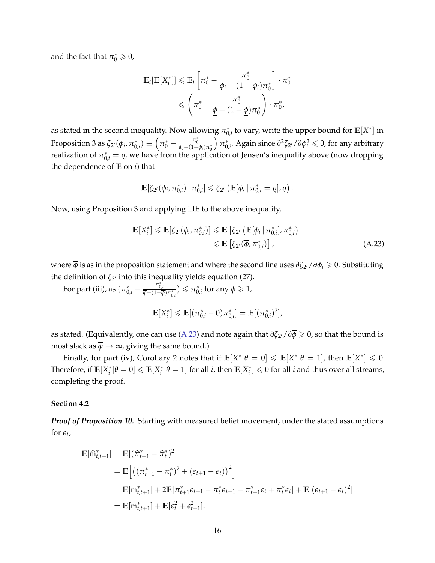and the fact that  $\pi_0^* \geqslant 0$ ,

$$
\mathbb{E}_{i}[\mathbb{E}[X_{i}^{*}]] \leq \mathbb{E}_{i} \left[ \pi_{0}^{*} - \frac{\pi_{0}^{*}}{\phi_{i} + (1 - \phi_{i})\pi_{0}^{*}} \right] \cdot \pi_{0}^{*}
$$
\n
$$
\leq \left( \pi_{0}^{*} - \frac{\pi_{0}^{*}}{\underline{\phi} + (1 - \underline{\phi})\pi_{0}^{*}} \right) \cdot \pi_{0}^{*},
$$

as stated in the second inequality. Now allowing  $\pi_{0,i}^*$  to vary, write the upper bound for  $\mathbb{E}[X^*]$  in Proposition 3 as  $\zeta_{2'}(\phi_i, \pi^*_{0,i}) \equiv \left(\pi^*_0 - \frac{\pi^*_0}{\phi_i+(1-\phi_i)\pi^*_0}\right)$  $\int \pi_{0,i}^*$ . Again since  $\partial^2 \zeta_{2^{\prime}}/\partial \phi_i^2 \leqslant 0$ , for any arbitrary realization of  $\pi_{0,i}^* = \varrho$ , we have from the application of Jensen's inequality above (now dropping the dependence of **E** on *i*) that

$$
\mathbb{E}[\zeta_{2'}(\phi_i, \pi_{0,i}^*) \mid \pi_{0,i}^*] \leq \zeta_{2'} (\mathbb{E}[\phi_i \mid \pi_{0,i}^* = \varrho], \varrho).
$$

Now, using Proposition 3 and applying LIE to the above inequality,

$$
\mathbb{E}[X_i^*] \leq \mathbb{E}[\zeta_{2'}(\phi_i, \pi_{0,i}^*)] \leq \mathbb{E}\left[\zeta_{2'}\left(\mathbb{E}[\phi_i \mid \pi_{0,i}^*], \pi_{0,i}^*\right)\right] \leq \mathbb{E}\left[\zeta_{2'}(\overline{\phi}, \pi_{0,i}^*)\right],
$$
\n(A.23)

where *ϕ* is as in the proposition statement and where the second line uses *∂ζ*<sup>2</sup> ′/*∂ϕ<sup>i</sup>* ⩾ 0. Substituting the definition of *ζ*<sup>2</sup> ′ into this inequality yields equation (27).

For part (iii), as  $(\pi_{0,i}^* - \frac{\pi_{0,i}^*}{\overline{\phi} + (1-\overline{\phi})\pi_{0,i}^*}) \leq \pi_{0,i}^*$  for any  $\overline{\phi} \geq 1$ ,

<span id="page-16-0"></span>
$$
\mathbb{E}[X_i^*] \leq \mathbb{E}[(\pi_{0,i}^* - 0)\pi_{0,i}^*] = \mathbb{E}[(\pi_{0,i}^*)^2],
$$

as stated. (Equivalently, one can use [\(A.23\)](#page-16-0) and note again that *∂ζ*<sup>2</sup> ′/*∂ϕ* ⩾ 0, so that the bound is most slack as  $\overline{\phi} \rightarrow \infty$ , giving the same bound.)

Finally, for part (iv), Corollary 2 notes that if  $\mathbb{E}[X^*|\theta = 0] \leq \mathbb{E}[X^*|\theta = 1]$ , then  $\mathbb{E}[X^*] \leq 0$ . Therefore, if  $\mathbb{E}[X_i^*|\theta=0]\leqslant \mathbb{E}[X_i^*|\theta=1]$  for all *i*, then  $\mathbb{E}[X_i^*]\leqslant 0$  for all *i* and thus over all streams, completing the proof.  $\Box$ 

#### **Section 4.2**

*Proof of Proposition 10.* Starting with measured belief movement, under the stated assumptions for  $\epsilon_t$ ,

$$
\mathbb{E}[\hat{\mathbf{m}}_{t,t+1}^*] = \mathbb{E}[(\hat{\pi}_{t+1}^* - \hat{\pi}_t^*)^2]
$$
  
\n
$$
= \mathbb{E}\left[\left((\pi_{t+1}^* - \pi_t^*)^2 + (\epsilon_{t+1} - \epsilon_t)\right)^2\right]
$$
  
\n
$$
= \mathbb{E}[\mathbf{m}_{t,t+1}^*] + 2\mathbb{E}[\pi_{t+1}^* \epsilon_{t+1} - \pi_t^* \epsilon_{t+1} - \pi_{t+1}^* \epsilon_t + \pi_t^* \epsilon_t] + \mathbb{E}[(\epsilon_{t+1} - \epsilon_t)^2]
$$
  
\n
$$
= \mathbb{E}[\mathbf{m}_{t,t+1}^*] + \mathbb{E}[\epsilon_t^2 + \epsilon_{t+1}^2].
$$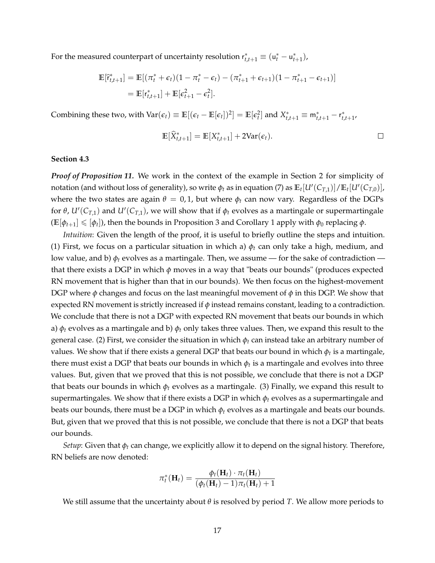For the measured counterpart of uncertainty resolution  $r_{t,t+1}^* \equiv (u_t^* - u_{t+1}^*),$ 

$$
\mathbb{E}[\tilde{r}_{t,t+1}^*] = \mathbb{E}[(\pi_t^* + \epsilon_t)(1 - \pi_t^* - \epsilon_t) - (\pi_{t+1}^* + \epsilon_{t+1})(1 - \pi_{t+1}^* - \epsilon_{t+1})]
$$
  
=  $\mathbb{E}[r_{t,t+1}^*] + \mathbb{E}[\epsilon_{t+1}^2 - \epsilon_t^2].$ 

Combining these two, with  $\text{Var}(\epsilon_t) \equiv \mathbb{E}[(\epsilon_t - \mathbb{E}[\epsilon_t])^2] = \mathbb{E}[\epsilon_t^2]$  and  $X_{t,t+1}^* \equiv \mathsf{m}_{t,t+1}^* - \mathsf{r}_{t,t+1}^*$ 

$$
\mathbb{E}[\widehat{X}_{t,t+1}^*] = \mathbb{E}[X_{t,t+1}^*] + 2\text{Var}(\epsilon_t).
$$

#### **Section 4.3**

*Proof of Proposition 11.* We work in the context of the example in Section 2 for simplicity of notation (and without loss of generality), so write  $\phi_t$  as in equation (7) as  $\mathbb{E}_t[U'(C_{T,1})]/\mathbb{E}_t[U'(C_{T,0})]$ , where the two states are again  $\theta = 0.1$ , but where  $\phi_t$  can now vary. Regardless of the DGPs for  $\theta$ ,  $U'(C_{T,1})$  and  $U'(C_{T,1})$ , we will show that if  $\phi_t$  evolves as a martingale or supermartingale  $(E[\phi_{t+1}] \leqslant [\phi_t])$ , then the bounds in Proposition 3 and Corollary 1 apply with  $\phi_0$  replacing  $\phi$ .

*Intuition*: Given the length of the proof, it is useful to briefly outline the steps and intuition. (1) First, we focus on a particular situation in which a)  $\phi_t$  can only take a high, medium, and low value, and b)  $\phi_t$  evolves as a martingale. Then, we assume — for the sake of contradiction that there exists a DGP in which *ϕ* moves in a way that "beats our bounds" (produces expected RN movement that is higher than that in our bounds). We then focus on the highest-movement DGP where *ϕ* changes and focus on the last meaningful movement of *ϕ* in this DGP. We show that expected RN movement is strictly increased if *ϕ* instead remains constant, leading to a contradiction. We conclude that there is not a DGP with expected RN movement that beats our bounds in which a) *ϕ<sup>t</sup>* evolves as a martingale and b) *ϕ<sup>t</sup>* only takes three values. Then, we expand this result to the general case. (2) First, we consider the situation in which  $\phi_t$  can instead take an arbitrary number of values. We show that if there exists a general DGP that beats our bound in which  $\phi_t$  is a martingale, there must exist a DGP that beats our bounds in which  $\phi_t$  is a martingale and evolves into three values. But, given that we proved that this is not possible, we conclude that there is not a DGP that beats our bounds in which *ϕ<sup>t</sup>* evolves as a martingale. (3) Finally, we expand this result to supermartingales. We show that if there exists a DGP in which *ϕ<sup>t</sup>* evolves as a supermartingale and beats our bounds, there must be a DGP in which  $\phi_t$  evolves as a martingale and beats our bounds. But, given that we proved that this is not possible, we conclude that there is not a DGP that beats our bounds.

*Setup*: Given that *ϕ<sup>t</sup>* can change, we explicitly allow it to depend on the signal history. Therefore, RN beliefs are now denoted:

$$
\pi_t^*(\mathbf{H}_t) = \frac{\phi_t(\mathbf{H}_t) \cdot \pi_t(\mathbf{H}_t)}{(\phi_t(\mathbf{H}_t) - 1)\pi_t(\mathbf{H}_t) + 1}
$$

We still assume that the uncertainty about *θ* is resolved by period *T*. We allow more periods to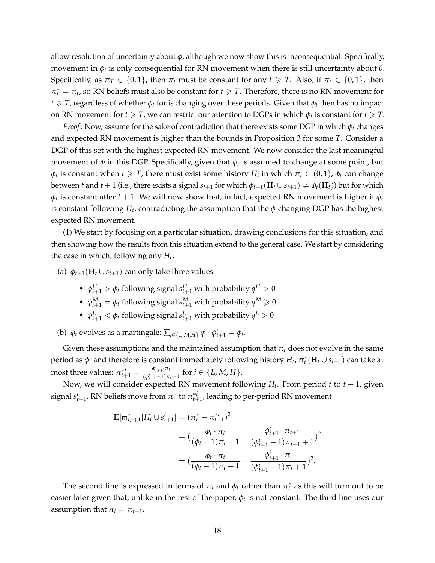allow resolution of uncertainty about *ϕ*, although we now show this is inconsequential. Specifically, movement in *ϕ<sup>t</sup>* is only consequential for RN movement when there is still uncertainty about *θ*. Specifically, as  $\pi_T \in \{0, 1\}$ , then  $\pi_t$  must be constant for any  $t \geq T$ . Also, if  $\pi_t \in \{0, 1\}$ , then  $\pi_t^* = \pi_t$ , so RN beliefs must also be constant for  $t \geq T$ . Therefore, there is no RN movement for *t*  $\geq$  *T*, regardless of whether  $\phi$ <sup>*t*</sup> for is changing over these periods. Given that  $\phi$ <sup>*t*</sup> then has no impact on RN movement for  $t \geqslant T$ , we can restrict our attention to DGPs in which  $\phi_t$  is constant for  $t \geqslant T$ .

*Proof*: Now, assume for the sake of contradiction that there exists some DGP in which  $\phi_t$  changes and expected RN movement is higher than the bounds in Proposition 3 for some *T*. Consider a DGP of this set with the highest expected RN movement. We now consider the last meaningful movement of *ϕ* in this DGP. Specifically, given that *ϕ<sup>t</sup>* is assumed to change at some point, but  $\phi_t$  is constant when *t*  $\geq$  *T*, there must exist some history *H<sub>t</sub>* in which  $\pi_t \in (0,1)$ ,  $\phi_t$  can change between *t* and *t* + 1 (i.e., there exists a signal  $s_{t+1}$  for which  $\phi_{t+1}(\mathbf{H}_t \cup s_{t+1}) \neq \phi_t(\mathbf{H}_t)$ ) but for which  $\phi_t$  is constant after *t* + 1. We will now show that, in fact, expected RN movement is higher if  $\phi_t$ is constant following *H<sup>t</sup>* , contradicting the assumption that the *ϕ*-changing DGP has the highest expected RN movement.

(1) We start by focusing on a particular situation, drawing conclusions for this situation, and then showing how the results from this situation extend to the general case. We start by considering the case in which, following any *H<sup>t</sup>* ,

(a)  $\phi_{t+1}(\mathbf{H}_t \cup s_{t+1})$  can only take three values:

- $\phi_{t+1}^H > \phi_t$  following signal  $s_{t+1}^H$  with probability  $q^H > 0$
- $\phi_{t+1}^M = \phi_t$  following signal  $s_{t+1}^M$  with probability  $q^M \geq 0$
- $\phi_{t+1}^L < \phi_t$  following signal  $s_{t+1}^L$  with probability  $q^L > 0$

(b)  $\phi_t$  evolves as a martingale:  $\sum_{i \in \{L, M, H\}} q^i \cdot \phi_{t+1}^i = \phi_t$ .

Given these assumptions and the maintained assumption that  $\pi_t$  does not evolve in the same period as  $\phi_t$  and therefore is constant immediately following history  $H_t$ ,  $\pi_t^*(\mathbf{H}_t \cup s_{t+1})$  can take at most three values:  $\pi^{*i}_{t+1} = \frac{\phi^{i}_{t+1} \cdot \pi_t}{(\phi^{i}_{t+1} - 1)\pi}$  $\frac{\varphi_{t+1} \cdot \varphi_t}{(\varphi_{t+1}^i - 1)\pi_t + 1}$  for  $i \in \{L, M, H\}.$ 

Now, we will consider expected RN movement following *H<sup>t</sup>* . From period *t* to *t* + 1, given signal  $s_{t+1}^i$ , RN beliefs move from  $\pi_t^*$  to  $\pi_{t+1}^{*i}$ , leading to per-period RN movement

$$
\mathbb{E}[\mathsf{m}_{t,t+1}^*|H_t \cup s_{t+1}^i] = (\pi_t^* - \pi_{t+1}^{*i})^2
$$
  
=  $(\frac{\phi_t \cdot \pi_t}{(\phi_t - 1)\pi_t + 1} - \frac{\phi_{t+1}^i \cdot \pi_{t+1}}{(\phi_{t+1}^i - 1)\pi_{t+1} + 1})^2$   
=  $(\frac{\phi_t \cdot \pi_t}{(\phi_t - 1)\pi_t + 1} - \frac{\phi_{t+1}^i \cdot \pi_t}{(\phi_{t+1}^i - 1)\pi_t + 1})^2$ .

The second line is expressed in terms of  $\pi_t$  and  $\phi_t$  rather than  $\pi_t^*$  as this will turn out to be easier later given that, unlike in the rest of the paper,  $\phi_t$  is not constant. The third line uses our assumption that  $\pi_t = \pi_{t+1}$ .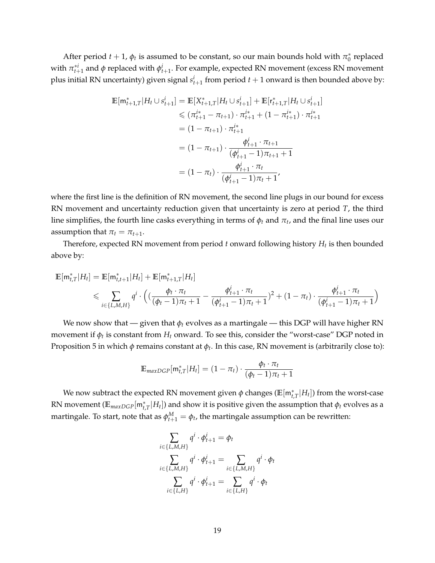After period  $t + 1$ ,  $\phi_t$  is assumed to be constant, so our main bounds hold with  $\pi_0^*$  replaced with  $\pi_{t+1}^{*i}$  and  $\phi$  replaced with  $\phi_{t+1}^i$ . For example, expected RN movement (excess RN movement plus initial RN uncertainty) given signal  $s_{t+1}^i$  from period  $t+1$  onward is then bounded above by:

$$
\mathbb{E}[\mathbf{m}_{t+1,T}^*|H_t \cup s_{t+1}^i] = \mathbb{E}[X_{t+1,T}^*|H_t \cup s_{t+1}^i] + \mathbb{E}[r_{t+1,T}^*|H_t \cup s_{t+1}^i]
$$
  
\n
$$
\leq (\pi_{t+1}^{i*} - \pi_{t+1}) \cdot \pi_{t+1}^{i*} + (1 - \pi_{t+1}^{i*}) \cdot \pi_{t+1}^{i*}
$$
  
\n
$$
= (1 - \pi_{t+1}) \cdot \pi_{t+1}^{i*}
$$
  
\n
$$
= (1 - \pi_{t+1}) \cdot \frac{\phi_{t+1}^i \cdot \pi_{t+1}}{(\phi_{t+1}^i - 1)\pi_{t+1} + 1}
$$
  
\n
$$
= (1 - \pi_t) \cdot \frac{\phi_{t+1}^i \cdot \pi_t}{(\phi_{t+1}^i - 1)\pi_t + 1},
$$

where the first line is the definition of RN movement, the second line plugs in our bound for excess RN movement and uncertainty reduction given that uncertainty is zero at period *T*, the third line simplifies, the fourth line casks everything in terms of  $\phi_t$  and  $\pi_t$ , and the final line uses our assumption that  $\pi_t = \pi_{t+1}$ .

Therefore, expected RN movement from period *t* onward following history *H<sup>t</sup>* is then bounded above by:

$$
\mathbb{E}[m_{t,T}^*|H_t] = \mathbb{E}[m_{t,t+1}^*|H_t] + \mathbb{E}[m_{t+1,T}^*|H_t]
$$
  
\$\leqslant \sum\_{i \in \{L,M,H\}} q^i \cdot \left( \left( \frac{\phi\_t \cdot \pi\_t}{(\phi\_t - 1)\pi\_t + 1} - \frac{\phi\_{t+1}^i \cdot \pi\_t}{(\phi\_{t+1}^i - 1)\pi\_t + 1} \right)^2 + (1 - \pi\_t) \cdot \frac{\phi\_{t+1}^i \cdot \pi\_t}{(\phi\_{t+1}^i - 1)\pi\_t + 1} \right)}\$

We now show that — given that *ϕ<sup>t</sup>* evolves as a martingale — this DGP will have higher RN movement if *ϕ<sup>t</sup>* is constant from *H<sup>t</sup>* onward. To see this, consider the "worst-case" DGP noted in Proposition 5 in which *ϕ* remains constant at *ϕ<sup>t</sup>* . In this case, RN movement is (arbitrarily close to):

$$
\mathbb{E}_{maxDGP}[m_{t,T}^*|H_t] = (1 - \pi_t) \cdot \frac{\phi_t \cdot \pi_t}{(\phi_t - 1)\pi_t + 1}
$$

We now subtract the expected RN movement given  $\phi$  changes ( $\mathbb{E}[\mathsf{m}_{t,T}^{*}|H_t]$ ) from the worst-case RN movement  $(\mathbb{E}_{maxDGP}[\mathsf{m}_{t,T}^{*}|H_t])$  and show it is positive given the assumption that  $\phi_t$  evolves as a martingale. To start, note that as  $\phi_{t+1}^M = \phi_t$ , the martingale assumption can be rewritten:

$$
\sum_{i \in \{L, M, H\}} q^i \cdot \phi_{t+1}^i = \phi_t
$$
\n
$$
\sum_{i \in \{L, M, H\}} q^i \cdot \phi_{t+1}^i = \sum_{i \in \{L, M, H\}} q^i \cdot \phi_t
$$
\n
$$
\sum_{i \in \{L, H\}} q^i \cdot \phi_{t+1}^i = \sum_{i \in \{L, H\}} q^i \cdot \phi_t
$$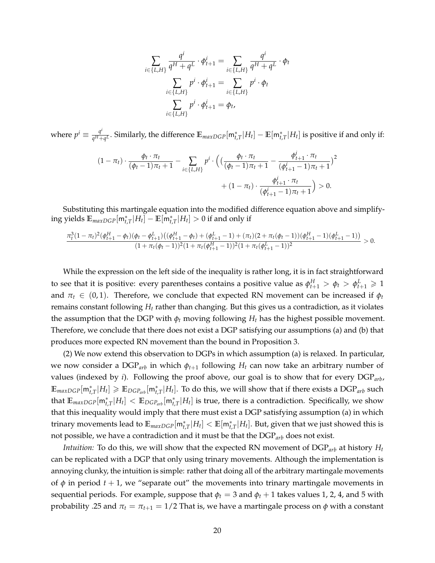$$
\sum_{i \in \{L, H\}} \frac{q^i}{q^H + q^L} \cdot \phi_{t+1}^i = \sum_{i \in \{L, H\}} \frac{q^i}{q^H + q^L} \cdot \phi_t
$$
\n
$$
\sum_{i \in \{L, H\}} p^i \cdot \phi_{t+1}^i = \sum_{i \in \{L, H\}} p^i \cdot \phi_t
$$
\n
$$
\sum_{i \in \{L, H\}} p^i \cdot \phi_{t+1}^i = \phi_t,
$$

where  $p^i \equiv \frac{q^i}{q^H + q^i}$  $\frac{q^t}{q^H+q^L}$ . Similarly, the difference  $\mathbb{E}_{maxDGP}[\mathsf{m}_{t,T}^*|H_t] - \mathbb{E}[\mathsf{m}_{t,T}^*|H_t]$  is positive if and only if:

$$
(1 - \pi_t) \cdot \frac{\phi_t \cdot \pi_t}{(\phi_t - 1)\pi_t + 1} - \sum_{i \in \{L, H\}} p^i \cdot \Big( \big( \frac{\phi_t \cdot \pi_t}{(\phi_t - 1)\pi_t + 1} - \frac{\phi_{t+1}^i \cdot \pi_t}{(\phi_{t+1}^i - 1)\pi_t + 1} \big)^2 + (1 - \pi_t) \cdot \frac{\phi_{t+1}^i \cdot \pi_t}{(\phi_{t+1}^i - 1)\pi_t + 1} \Big) > 0.
$$

Substituting this martingale equation into the modified difference equation above and simplify- $\limsup$  yields  $\mathbb{E}_{maxDGP}[\mathsf{m}_{t,T}^{*}|H_t]-\mathbb{E}[\bar{\mathsf{m}}_{t,T}^{*}|H_t]>0$  if and only if

$$
\frac{\pi_t^3(1-\pi_t)^2(\phi_{t+1}^H-\phi_t)(\phi_t-\phi_{t+1}^L)((\phi_{t+1}^H-\phi_t)+(\phi_{t+1}^L-1)+(\pi_t)(2+\pi_t(\phi_t-1))(\phi_{t+1}^H-1)(\phi_{t+1}^L-1))}{(1+\pi_t(\phi_t-1))^2(1+\pi_t(\phi_{t+1}^H-1))^2(1+\pi_t(\phi_{t+1}^L-1))^2}>0.
$$

While the expression on the left side of the inequality is rather long, it is in fact straightforward to see that it is positive: every parentheses contains a positive value as  $\phi_{t+1}^H > \phi_t > \phi_{t+1}^L \geqslant 1$ and  $\pi_t \in (0,1)$ . Therefore, we conclude that expected RN movement can be increased if  $\phi_t$ remains constant following *H<sup>t</sup>* rather than changing. But this gives us a contradiction, as it violates the assumption that the DGP with  $\phi_t$  moving following  $H_t$  has the highest possible movement. Therefore, we conclude that there does not exist a DGP satisfying our assumptions (a) and (b) that produces more expected RN movement than the bound in Proposition 3.

(2) We now extend this observation to DGPs in which assumption (a) is relaxed. In particular, we now consider a DGP*arb* in which *ϕt*+<sup>1</sup> following *H<sup>t</sup>* can now take an arbitrary number of values (indexed by *i*). Following the proof above, our goal is to show that for every DGP*arb*,  $\mathbb{E}_{maxDGP}[\mathsf{m}_{t,T}^{*}|H_t]\geqslant \mathbb{E}_{DGP_{arb}}[\mathsf{m}_{t,T}^{*}|H_t].$  To do this, we will show that if there exists a  $\text{DGP}_{arb}$  such that  $\mathbb{E}_{maxDGP}[\mathsf{m}_{t,T}^*|H_t] < \mathbb{E}_{DGP_{arb}}[\mathsf{m}_{t,T}^*|H_t]$  is true, there is a contradiction. Specifically, we show that this inequality would imply that there must exist a DGP satisfying assumption (a) in which trinary movements lead to  $\mathbb{E}_{maxDGP}[\mathsf{m}_{t,T}^{*}|H_t]<\mathbb{E}[\mathsf{m}_{t,T}^{*}|H_t].$  But, given that we just showed this is not possible, we have a contradiction and it must be that the DGP*arb* does not exist.

*Intuition:* To do this, we will show that the expected RN movement of DGP*arb* at history *H<sup>t</sup>* can be replicated with a DGP that only using trinary movements. Although the implementation is annoying clunky, the intuition is simple: rather that doing all of the arbitrary martingale movements of  $\phi$  in period  $t + 1$ , we "separate out" the movements into trinary martingale movements in sequential periods. For example, suppose that  $\phi_t = 3$  and  $\phi_t + 1$  takes values 1, 2, 4, and 5 with probability .25 and  $\pi_t = \pi_{t+1} = 1/2$  That is, we have a martingale process on  $\phi$  with a constant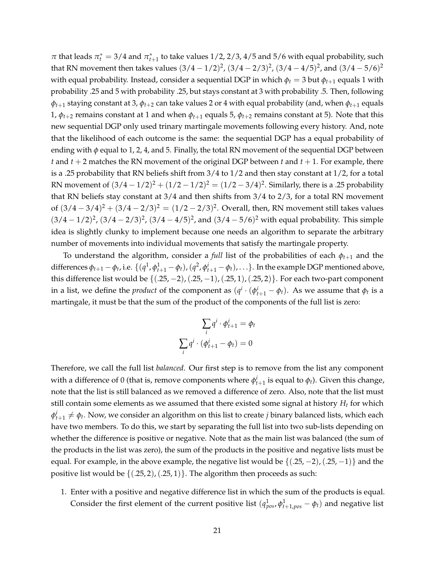$\pi$  that leads  $\pi_t^* = 3/4$  and  $\pi_{t+1}^*$  to take values  $1/2$ ,  $2/3$ ,  $4/5$  and  $5/6$  with equal probability, such that RN movement then takes values  $(3/4-1/2)^2$ ,  $(3/4-2/3)^2$ ,  $(3/4-4/5)^2$ , and  $(3/4-5/6)^2$ with equal probability. Instead, consider a sequential DGP in which  $\phi_t = 3$  but  $\phi_{t+1}$  equals 1 with probability .25 and 5 with probability .25, but stays constant at 3 with probability .5. Then, following  $\phi$ *t*+1 staying constant at 3,  $\phi$ *t*+2 can take values 2 or 4 with equal probability (and, when  $\phi$ *t*+1 equals 1,  $\phi_{t+2}$  remains constant at 1 and when  $\phi_{t+1}$  equals 5,  $\phi_{t+2}$  remains constant at 5). Note that this new sequential DGP only used trinary martingale movements following every history. And, note that the likelihood of each outcome is the same: the sequential DGP has a equal probability of ending with *ϕ* equal to 1, 2, 4, and 5. Finally, the total RN movement of the sequential DGP between *t* and *t* + 2 matches the RN movement of the original DGP between *t* and *t* + 1. For example, there is a .25 probability that RN beliefs shift from 3/4 to 1/2 and then stay constant at 1/2, for a total RN movement of  $(3/4 - 1/2)^2 + (1/2 - 1/2)^2 = (1/2 - 3/4)^2$ . Similarly, there is a .25 probability that RN beliefs stay constant at 3/4 and then shifts from 3/4 to 2/3, for a total RN movement of  $(3/4 - 3/4)^2 + (3/4 - 2/3)^2 = (1/2 - 2/3)^2$ . Overall, then, RN movement still takes values  $(3/4 - 1/2)^2$ ,  $(3/4 - 2/3)^2$ ,  $(3/4 - 4/5)^2$ , and  $(3/4 - 5/6)^2$  with equal probability. This simple idea is slightly clunky to implement because one needs an algorithm to separate the arbitrary number of movements into individual movements that satisfy the martingale property.

To understand the algorithm, consider a *full* list of the probabilities of each *ϕt*+<sup>1</sup> and the differences  $\phi_{t+1} - \phi_t$ , i.e.  $\{(q^1, \phi_{t+1}^1 - \phi_t), (q^2, \phi_{t+1}^i - \phi_t), \ldots\}$ . In the example DGP mentioned above, this difference list would be  $\{(.25, -2), (.25, -1), (.25, 1), (.25, 2)\}$ . For each two-part component in a list, we define the *product* of the component as  $(q<sup>i</sup> \cdot ( \phi<sup>i</sup><sub>t+1</sub> - \phi<sub>t</sub>)$ . As we assume that  $\phi<sub>t</sub>$  is a martingale, it must be that the sum of the product of the components of the full list is zero:

$$
\sum_{i} q^{i} \cdot \phi_{t+1}^{i} = \phi_{t}
$$

$$
\sum_{i} q^{i} \cdot (\phi_{t+1}^{i} - \phi_{t}) = 0
$$

Therefore, we call the full list *balanced*. Our first step is to remove from the list any component with a difference of 0 (that is, remove components where  $\phi_{t+1}^i$  is equal to  $\phi_t$ ). Given this change, note that the list is still balanced as we removed a difference of zero. Also, note that the list must still contain some elements as we assumed that there existed some signal at history  $H_t$  for which  $\phi_{t+1}^i \neq \phi_t$ . Now, we consider an algorithm on this list to create *j* binary balanced lists, which each have two members. To do this, we start by separating the full list into two sub-lists depending on whether the difference is positive or negative. Note that as the main list was balanced (the sum of the products in the list was zero), the sum of the products in the positive and negative lists must be equal. For example, in the above example, the negative list would be  $\{(.25, -2), (.25, -1)\}$  and the positive list would be  $\{(.25, 2), (.25, 1)\}.$  The algorithm then proceeds as such:

1. Enter with a positive and negative difference list in which the sum of the products is equal. Consider the first element of the current positive list  $(q_{pos}^1, \phi_{t+1, pos}^1 - \phi_t)$  and negative list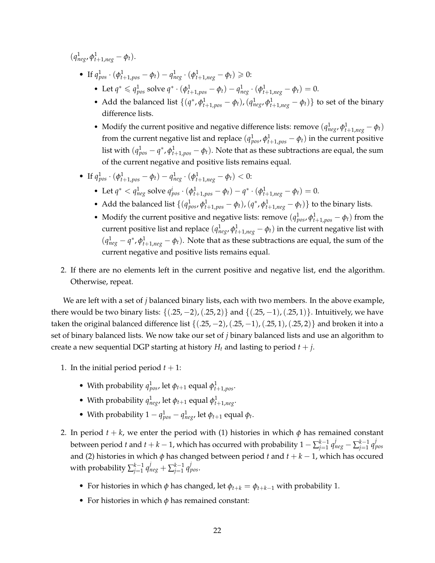$(q_{neg}^1, \phi_{t+1,neg}^1 - \phi_t).$ 

- If  $q_{pos}^1 \cdot (\phi_{t+1, pos}^1 \phi_t) q_{neg}^1 \cdot (\phi_{t+1, neg}^1 \phi_t) \geq 0$ :
	- Let  $q^* \le q_{pos}^1$  solve  $q^* \cdot (\phi_{t+1, pos}^1 \phi_t) q_{neg}^1 \cdot (\phi_{t+1, neg}^1 \phi_t) = 0.$
	- Add the balanced list  $\{(q^*, \phi_{t+1, pos}^1 \phi_t), (q_{neg}^1, \phi_{t+1, neg}^1 \phi_t)\}$  to set of the binary difference lists.
	- Modify the current positive and negative difference lists: remove  $(q_{neg}^1, \phi_{t+1,neg}^1 \phi_t)$ from the current negative list and replace  $(q^1_{pos}, \phi^1_{t+1, pos} - \phi_t)$  in the current positive list with  $(q_{pos}^1 - q^*$ ,  $\phi_{t+1,pos}^1 - \phi_t)$ . Note that as these subtractions are equal, the sum of the current negative and positive lists remains equal.
- If  $q_{pos}^1 \cdot (\phi_{t+1, pos}^1 \phi_t) q_{neg}^1 \cdot (\phi_{t+1, neg}^1 \phi_t) < 0$ :
	- Let  $q^* < q^1_{neg}$  solve  $q^i_{pos} \cdot (\phi^1_{t+1,pos} \phi_t) q^* \cdot (\phi^1_{t+1,neg} \phi_t) = 0.$
	- Add the balanced list  $\{(q_{pos}^1, \phi_{t+1,pos}^1 \phi_t), (q^*, \phi_{t+1,neg}^1 \phi_t)\}$  to the binary lists.
	- Modify the current positive and negative lists: remove  $(q_{pos}^1, \phi_{t+1, pos}^1 \phi_t)$  from the current positive list and replace  $(q^1_{neg},\phi^1_{t+1,neg}-\phi_t)$  in the current negative list with  $(q_{neg}^1 - q^*, \phi_{t+1,neg}^1 - \phi_t)$ . Note that as these subtractions are equal, the sum of the current negative and positive lists remains equal.
- 2. If there are no elements left in the current positive and negative list, end the algorithm. Otherwise, repeat.

We are left with a set of *j* balanced binary lists, each with two members. In the above example, there would be two binary lists:  $\{(.25, -2), (.25, 2)\}$  and  $\{(.25, -1), (.25, 1)\}$ . Intuitively, we have taken the original balanced difference list  $\{(0.25, -2), (0.25, -1), (0.25, 1), (0.25, 2)\}$  and broken it into a set of binary balanced lists. We now take our set of *j* binary balanced lists and use an algorithm to create a new sequential DGP starting at history  $H_t$  and lasting to period  $t + j$ .

- 1. In the initial period period  $t + 1$ :
	- With probability  $q_{pos}^1$ , let  $\phi_{t+1}$  equal  $\phi_{t+1,pos}^1$ .
	- With probability  $q_{neg}^1$ , let  $\phi_{t+1}$  equal  $\phi_{t+1,neg}^1$ .
	- With probability  $1 q_{pos}^1 q_{neg}^1$ , let  $\phi_{t+1}$  equal  $\phi_t$ .
- 2. In period  $t + k$ , we enter the period with (1) histories in which  $\phi$  has remained constant between period *t* and *t* + *k* − 1, which has occurred with probability 1 −  $\sum_{i=1}^{k-1}$  $j=1 \text{ } q_{neg}^j-\sum_{j=1}^{k-1} q_j^j$ *j*=1 *q j pos* and (2) histories in which *ϕ* has changed between period *t* and *t* + *k* − 1, which has occured with probability ∑ *k*−1  $j=1 \text{ } q_{neg}^j + \sum_{j=1}^{k-1} q_{neg}^j$ *j*=1 *q j pos*.
	- For histories in which  $\phi$  has changed, let  $\phi_{t+k} = \phi_{t+k-1}$  with probability 1.
	- For histories in which *ϕ* has remained constant: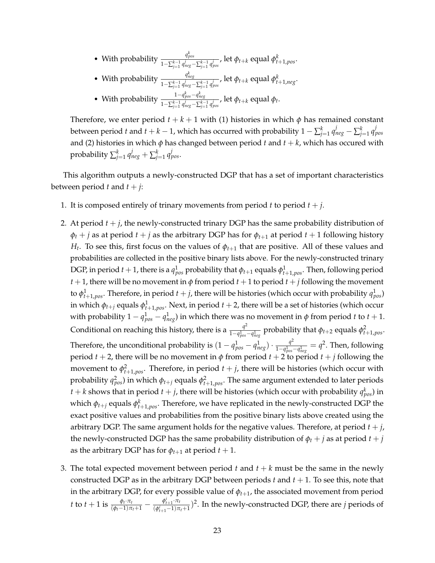- With probability  $\frac{q_{pos}^k}{1-\sum_{k=1}^{k-1}j_k}$ *j*−∑ $^{k-1}_{j=1}$  *q*<sup>†</sup> $^{j}_{neg}$ −∑ $^{k-1}_{j=1}$  q $^{j}_{pos}$ , let  $\phi_{t+k}$  equal  $\phi^{k}_{t+1,pos}.$
- With probability  $\frac{q_{neg}^k}{1-\sum_{i=1}^{k-1}i}$ 1−∑ *k*−1 *j*=1 *q j neg*−∑ *k*−1 *j*=1 *q j pos* , let *ϕt*+*<sup>k</sup>* equal *ϕ k <sup>t</sup>*+1,*neg*.
- With probability  $\frac{1-q_{pos}^k-q_{neg}^k}{1-q_{neg}^k-q_{neg}^k}$  $\frac{1}{1-\sum_{j=1}^{k-1} q_{neg}^j - \sum_{j=1}^{k-1} q_{pos}^j}$ , let *ϕt*+*k* equal *ϕt*.

Therefore, we enter period  $t + k + 1$  with (1) histories in which  $\phi$  has remained constant between period *t* and *t* + *k* − 1, which has occurred with probability 1 −  $\sum_{j=1}^k q^j_{neg} - \sum_{j=1}^k q^j_{pos}$ and (2) histories in which  $\phi$  has changed between period  $t$  and  $t + k$ , which has occured with probability  $\sum_{j=1}^k q_{neg}^j + \sum_{j=1}^k q_{pos}^j$ .

This algorithm outputs a newly-constructed DGP that has a set of important characteristics between period *t* and  $t + j$ :

- 1. It is composed entirely of trinary movements from period *t* to period *t* + *j*.
- 2. At period  $t + j$ , the newly-constructed trinary DGP has the same probability distribution of  $\phi_t$  + *j* as at period *t* + *j* as the arbitrary DGP has for  $\phi_{t+1}$  at period *t* + 1 following history *Ht* . To see this, first focus on the values of *ϕt*+<sup>1</sup> that are positive. All of these values and probabilities are collected in the positive binary lists above. For the newly-constructed trinary DGP, in period  $t+1$ , there is a  $q_{pos}^1$  probability that  $\phi_{t+1}$  equals  $\phi_{t+1,pos}^1$ . Then, following period *t* + 1, there will be no movement in  $\phi$  from period *t* + 1 to period *t* + *j* following the movement to  $\phi^1_{t+1, pos}$ . Therefore, in period  $t+j$ , there will be histories (which occur with probability  $q^1_{pos}$ ) in which  $\phi_{t+j}$  equals  $\phi^1_{t+1,\textit{pos}}.$  Next, in period  $t+2$ , there will be a set of histories (which occur with probability  $1 - q_{pos}^1 - q_{neg}^1$ ) in which there was no movement in  $\phi$  from period *t* to  $t + 1$ . Conditional on reaching this history, there is a  $\frac{q^2}{1-q^4}$  $\frac{q^2}{1-q_{pos}^1-q_{neg}^1}$  probability that  $φ_{t+2}$  equals  $φ_{t+1,pos}^2$ . Therefore, the unconditional probability is  $(1 - q_{pos}^1 - q_{neg}^1) \cdot \frac{q^2}{1 - q_{pos}^1}$  $\frac{q^2}{1-q_{pos}^1-q_{neg}^1} = q^2$ . Then, following period  $t + 2$ , there will be no movement in  $\phi$  from period  $t + 2$  to period  $t + j$  following the movement to  $\phi_{t+1,\text{pos}}^2$ . Therefore, in period  $t+j$ , there will be histories (which occur with probability  $q_{pos}^2$ ) in which  $\phi_{t+j}$  equals  $\phi_{t+1,pos}^2$ . The same argument extended to later periods  $t + k$  shows that in period  $t + j$ , there will be histories (which occur with probability  $q_{pos}^k$ ) in which *ϕt*+*<sup>j</sup>* equals *ϕ k <sup>t</sup>*+1,*pos*. Therefore, we have replicated in the newly-constructed DGP the exact positive values and probabilities from the positive binary lists above created using the arbitrary DGP. The same argument holds for the negative values. Therefore, at period *t* + *j*, the newly-constructed DGP has the same probability distribution of  $\phi_t + j$  as at period  $t + j$ as the arbitrary DGP has for  $\phi_{t+1}$  at period  $t + 1$ .
- 3. The total expected movement between period  $t$  and  $t + k$  must be the same in the newly constructed DGP as in the arbitrary DGP between periods  $t$  and  $t + 1$ . To see this, note that in the arbitrary DGP, for every possible value of *ϕt*+1, the associated movement from period *t* to *t* + 1 is  $\frac{\phi_i \cdot \pi_t}{(\phi_i - 1)\pi_i + 1} - \frac{\phi_{i+1}^i \cdot \pi_t}{(\phi_{i+1}^i - 1)\pi_i}$  $\frac{\varphi_{i+1} \cdot \pi_i}{(\varphi_{i+1}^i - 1)\pi_i + 1}$ )<sup>2</sup>. In the newly-constructed DGP, there are *j* periods of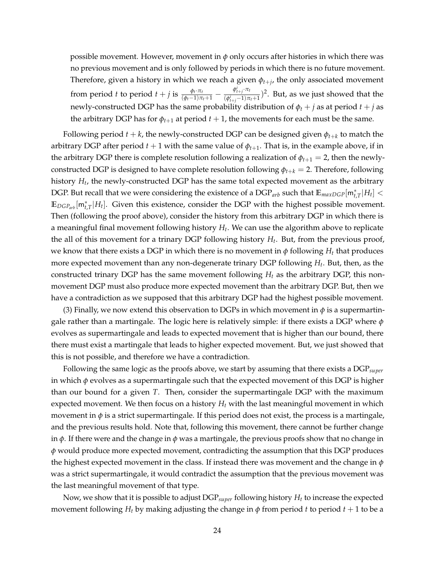possible movement. However, movement in  $\phi$  only occurs after histories in which there was no previous movement and is only followed by periods in which there is no future movement. Therefore, given a history in which we reach a given *ϕt*+*<sup>j</sup>* , the only associated movement from period *t* to period *t* + *j* is  $\frac{\phi_t \cdot \pi_t}{(\phi_t - 1)\pi_t + 1} - \frac{\phi_{t+j}^i \cdot \pi_t}{(\phi_{t+i}^i - 1)\pi_t}$  $\frac{\varphi_{t+j} \cdot \varphi_{t}}{(\varphi_{t+j}^i-1)\pi_t+1}$ <sup>2</sup>. But, as we just showed that the newly-constructed DGP has the same probability distribution of  $\phi_t + j$  as at period  $t + j$  as the arbitrary DGP has for  $\phi_{t+1}$  at period  $t+1$ , the movements for each must be the same.

Following period  $t + k$ , the newly-constructed DGP can be designed given  $\phi_{t+k}$  to match the arbitrary DGP after period  $t + 1$  with the same value of  $\phi_{t+1}$ . That is, in the example above, if in the arbitrary DGP there is complete resolution following a realization of  $\phi_{t+1} = 2$ , then the newlyconstructed DGP is designed to have complete resolution following  $\phi_{t+k} = 2$ . Therefore, following history *H<sup>t</sup>* , the newly-constructed DGP has the same total expected movement as the arbitrary DGP. But recall that we were considering the existence of a DGP<sub>arb</sub> such that  $\mathbb{E}_{maxDGP}[{\sf m}^*_{t,T}|H_t] <$  $\mathbb{E}_{DGP_{arb}}[\mathsf{m}_{t,T}^*|H_t]$ . Given this existence, consider the DGP with the highest possible movement. Then (following the proof above), consider the history from this arbitrary DGP in which there is a meaningful final movement following history *H<sup>t</sup>* . We can use the algorithm above to replicate the all of this movement for a trinary DGP following history *H<sup>t</sup>* . But, from the previous proof, we know that there exists a DGP in which there is no movement in  $\phi$  following  $H_t$  that produces more expected movement than any non-degenerate trinary DGP following *H<sup>t</sup>* . But, then, as the constructed trinary DGP has the same movement following  $H_t$  as the arbitrary DGP, this nonmovement DGP must also produce more expected movement than the arbitrary DGP. But, then we have a contradiction as we supposed that this arbitrary DGP had the highest possible movement.

(3) Finally, we now extend this observation to DGPs in which movement in  $\phi$  is a supermartingale rather than a martingale. The logic here is relatively simple: if there exists a DGP where *ϕ* evolves as supermartingale and leads to expected movement that is higher than our bound, there there must exist a martingale that leads to higher expected movement. But, we just showed that this is not possible, and therefore we have a contradiction.

Following the same logic as the proofs above, we start by assuming that there exists a DGP*super* in which *ϕ* evolves as a supermartingale such that the expected movement of this DGP is higher than our bound for a given *T*. Then, consider the supermartingale DGP with the maximum expected movement. We then focus on a history *H<sup>t</sup>* with the last meaningful movement in which movement in  $\phi$  is a strict supermartingale. If this period does not exist, the process is a martingale, and the previous results hold. Note that, following this movement, there cannot be further change in *ϕ*. If there were and the change in *ϕ* was a martingale, the previous proofs show that no change in *ϕ* would produce more expected movement, contradicting the assumption that this DGP produces the highest expected movement in the class. If instead there was movement and the change in *ϕ* was a strict supermartingale, it would contradict the assumption that the previous movement was the last meaningful movement of that type.

Now, we show that it is possible to adjust DGP*super* following history *H<sup>t</sup>* to increase the expected movement following *H<sub>t</sub>* by making adjusting the change in  $\phi$  from period *t* to period  $t + 1$  to be a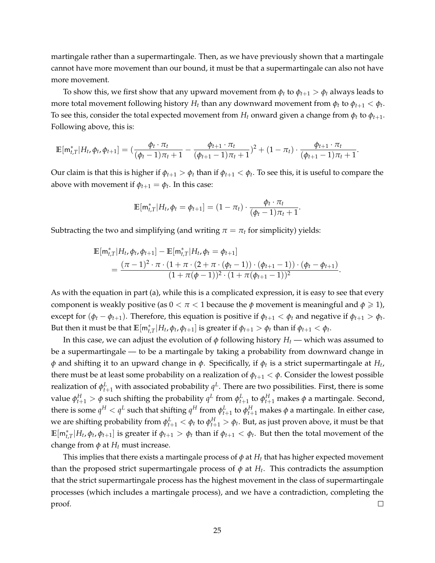martingale rather than a supermartingale. Then, as we have previously shown that a martingale cannot have more movement than our bound, it must be that a supermartingale can also not have more movement.

To show this, we first show that any upward movement from  $\phi_t$  to  $\phi_{t+1} > \phi_t$  always leads to more total movement following history  $H_t$  than any downward movement from  $\phi_t$  to  $\phi_{t+1} < \phi_t$ . To see this, consider the total expected movement from  $H_t$  onward given a change from  $\phi_t$  to  $\phi_{t+1}$ . Following above, this is:

$$
\mathbb{E}[m_{t,T}^*|H_t, \phi_t, \phi_{t+1}] = (\frac{\phi_t \cdot \pi_t}{(\phi_t - 1)\pi_t + 1} - \frac{\phi_{t+1} \cdot \pi_t}{(\phi_{t+1} - 1)\pi_t + 1})^2 + (1 - \pi_t) \cdot \frac{\phi_{t+1} \cdot \pi_t}{(\phi_{t+1} - 1)\pi_t + 1}.
$$

Our claim is that this is higher if  $\phi_{t+1} > \phi_t$  than if  $\phi_{t+1} < \phi_t$ . To see this, it is useful to compare the above with movement if  $\phi_{t+1} = \phi_t$ . In this case:

$$
\mathbb{E}[m_{t,T}^*|H_t, \phi_t = \phi_{t+1}] = (1 - \pi_t) \cdot \frac{\phi_t \cdot \pi_t}{(\phi_t - 1)\pi_t + 1}
$$

.

Subtracting the two and simplifying (and writing  $\pi = \pi_t$  for simplicity) yields:

$$
\mathbb{E}[m_{t,T}^*|H_t, \phi_t, \phi_{t+1}] - \mathbb{E}[m_{t,T}^*|H_t, \phi_t = \phi_{t+1}]
$$
  
= 
$$
\frac{(\pi - 1)^2 \cdot \pi \cdot (1 + \pi \cdot (2 + \pi \cdot (\phi_t - 1)) \cdot (\phi_{t+1} - 1)) \cdot (\phi_t - \phi_{t+1})}{(1 + \pi(\phi - 1))^2 \cdot (1 + \pi(\phi_{t+1} - 1))^2}.
$$

As with the equation in part (a), while this is a complicated expression, it is easy to see that every component is weakly positive (as  $0 < \pi < 1$  because the  $\phi$  movement is meaningful and  $\phi \geq 1$ ), except for  $(\phi_t - \phi_{t+1})$ . Therefore, this equation is positive if  $\phi_{t+1} < \phi_t$  and negative if  $\phi_{t+1} > \phi_t$ . But then it must be that  $\mathbb{E}[\mathsf{m}_{t,T}^{*}|H_t, \phi_t, \phi_{t+1}]$  is greater if  $\phi_{t+1} > \phi_t$  than if  $\phi_{t+1} < \phi_t$ .

In this case, we can adjust the evolution of  $\phi$  following history  $H_t$  — which was assumed to be a supermartingale — to be a martingale by taking a probability from downward change in *ϕ* and shifting it to an upward change in *ϕ*. Specifically, if *ϕ<sup>t</sup>* is a strict supermartingale at *H<sup>t</sup>* , there must be at least some probability on a realization of  $\phi_{t+1} < \phi$ . Consider the lowest possible realization of  $\phi_{t+1}^L$  with associated probability  $q^L$ . There are two possibilities. First, there is some value  $φ_{t+1}^H > φ$  such shifting the probability  $q^L$  from  $φ_{t+1}^L$  to  $φ_{t+1}^H$  makes  $φ$  a martingale. Second, there is some  $q^H < q^L$  such that shifting  $q^H$  from  $φ_{t+1}^L$  to  $φ_{t+1}^H$  makes  $φ$  a martingale. In either case, we are shifting probability from  $\phi^L_{t+1}<\phi_t$  to  $\phi^H_{t+1}>\phi_t.$  But, as just proven above, it must be that  $\mathbb{E}[\mathsf{m}_{t,T}^*|H_t,\phi_t,\phi_{t+1}]$  is greater if  $\phi_{t+1} > \phi_t$  than if  $\phi_{t+1} < \phi_t$ . But then the total movement of the change from  $\phi$  at  $H_t$  must increase.

This implies that there exists a martingale process of  $\phi$  at  $H_t$  that has higher expected movement than the proposed strict supermartingale process of  $\phi$  at  $H_t$ . This contradicts the assumption that the strict supermartingale process has the highest movement in the class of supermartingale processes (which includes a martingale process), and we have a contradiction, completing the proof.  $\Box$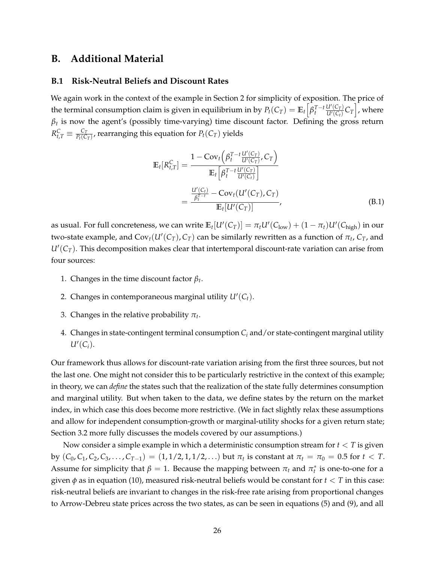## <span id="page-26-0"></span>**B. Additional Material**

#### <span id="page-26-1"></span>**B.1 Risk-Neutral Beliefs and Discount Rates**

We again work in the context of the example in Section 2 for simplicity of exposition. The price of the terminal consumption claim is given in equilibrium in by  $P_t(C_T) = \mathbb{E}_t\Big[ \beta_t^{T-t}$  $U'(C_T)$  $\left[\frac{U'(C_T)}{U'(C_t)} C_T\right]$ , where  $\beta_t$  is now the agent's (possibly time-varying) time discount factor. Defining the gross return  $R_{t,T}^C \equiv \frac{C_T}{P_t(C)}$  $\frac{C_T}{P_t(C_T)}$ , rearranging this equation for  $P_t(C_T)$  yields

<span id="page-26-2"></span>
$$
\mathbb{E}_{t}[R_{t,T}^{C}] = \frac{1 - \text{Cov}_{t}\left(\beta_{t}^{T-t} \frac{U'(C_{T})}{U'(C_{T})}, C_{T}\right)}{\mathbb{E}_{t}\left[\beta_{t}^{T-t} \frac{U'(C_{T})}{U'(C_{T})}\right]}
$$
\n
$$
= \frac{\frac{U'(C_{t})}{\beta_{t}^{T-t}} - \text{Cov}_{t}(U'(C_{T}), C_{T})}{\mathbb{E}_{t}[U'(C_{T})]}, \tag{B.1}
$$

as usual. For full concreteness, we can write  $\mathbb{E}_t[U'(C_T)]=\pi_tU'(C_{\text{low}})+(1-\pi_t)U'(C_{\text{high}})$  in our two-state example, and  $Cov_t(U'(C_T), C_T)$  can be similarly rewritten as a function of  $\pi_t$ ,  $C_T$ , and *U*′ (*CT*). This decomposition makes clear that intertemporal discount-rate variation can arise from four sources:

- 1. Changes in the time discount factor  $\beta_t$ .
- 2. Changes in contemporaneous marginal utility  $U'(C_t)$ .
- 3. Changes in the relative probability *π<sup>t</sup>* .
- 4. Changes in state-contingent terminal consumption *C<sup>i</sup>* and/or state-contingent marginal utility  $U'(C_i)$ .

Our framework thus allows for discount-rate variation arising from the first three sources, but not the last one. One might not consider this to be particularly restrictive in the context of this example; in theory, we can *define* the states such that the realization of the state fully determines consumption and marginal utility. But when taken to the data, we define states by the return on the market index, in which case this does become more restrictive. (We in fact slightly relax these assumptions and allow for independent consumption-growth or marginal-utility shocks for a given return state; Section 3.2 more fully discusses the models covered by our assumptions.)

Now consider a simple example in which a deterministic consumption stream for *t* < *T* is given by  $(C_0, C_1, C_2, C_3, \ldots, C_{T-1}) = (1, 1/2, 1, 1/2, \ldots)$  but  $\pi_t$  is constant at  $\pi_t = \pi_0 = 0.5$  for  $t < T$ . Assume for simplicity that  $\beta = 1$ . Because the mapping between  $\pi_t$  and  $\pi_t^*$  is one-to-one for a given  $\phi$  as in equation (10), measured risk-neutral beliefs would be constant for  $t < T$  in this case: risk-neutral beliefs are invariant to changes in the risk-free rate arising from proportional changes to Arrow-Debreu state prices across the two states, as can be seen in equations (5) and (9), and all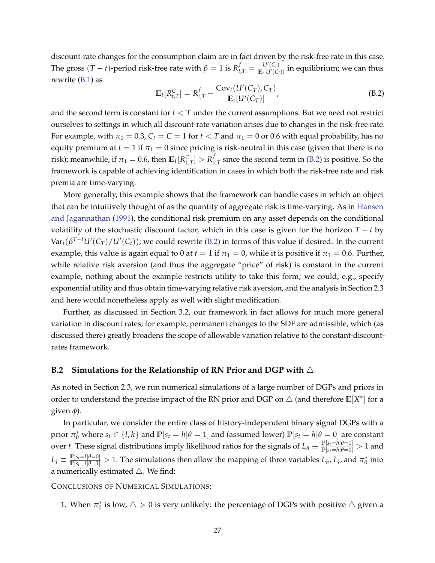discount-rate changes for the consumption claim are in fact driven by the risk-free rate in this case. The gross  $(T - t)$ -period risk-free rate with  $\beta = 1$  is  $R_{t,T}^f = \frac{U'(C_t)}{\mathbb{E}_t[U'(C_t)}$  $\frac{u(c)}{\mathbb{E}_t[U'(C_i)]}$  in equilibrium; we can thus rewrite [\(B.1\)](#page-26-2) as

<span id="page-27-1"></span>
$$
\mathbb{E}_t[R_{t,T}^C] = R_{t,T}^f - \frac{\text{Cov}_t(U'(C_T), C_T)}{\mathbb{E}_t[U'(C_T)]},
$$
\n(B.2)

and the second term is constant for *t* < *T* under the current assumptions. But we need not restrict ourselves to settings in which all discount-rate variation arises due to changes in the risk-free rate. For example, with  $\pi_0 = 0.3$ ,  $C_t = \overline{C} = 1$  for  $t < T$  and  $\pi_1 = 0$  or 0.6 with equal probability, has no equity premium at  $t = 1$  if  $\pi_1 = 0$  since pricing is risk-neutral in this case (given that there is no risk); meanwhile, if  $\pi_1 = 0.6$ , then  $\mathbb{E}_1[R_{1,T}^C] > R_1^f$  $\int_{1,T}^{1}$  since the second term in [\(B.2\)](#page-27-1) is positive. So the framework is capable of achieving identification in cases in which both the risk-free rate and risk premia are time-varying.

More generally, this example shows that the framework can handle cases in which an object that can be intuitively thought of as the quantity of aggregate risk is time-varying. As in [Hansen](#page-36-7) [and Jagannathan](#page-36-7) [\(1991\)](#page-36-7), the conditional risk premium on any asset depends on the conditional volatility of the stochastic discount factor, which in this case is given for the horizon  $T - t$  by  $\text{Var}_t(\beta^{T-t}U'(C_T)/U'(C_t))$ ; we could rewrite [\(B.2\)](#page-27-1) in terms of this value if desired. In the current example, this value is again equal to 0 at  $t = 1$  if  $\pi_1 = 0$ , while it is positive if  $\pi_1 = 0.6$ . Further, while relative risk aversion (and thus the aggregate "price" of risk) is constant in the current example, nothing about the example restricts utility to take this form; we could, e.g., specify exponential utility and thus obtain time-varying relative risk aversion, and the analysis in Section 2.3 and here would nonetheless apply as well with slight modification.

Further, as discussed in Section 3.2, our framework in fact allows for much more general variation in discount rates; for example, permanent changes to the SDF are admissible, which (as discussed there) greatly broadens the scope of allowable variation relative to the constant-discountrates framework.

## <span id="page-27-0"></span>**B.2 Simulations for the Relationship of RN Prior and DGP with** △

As noted in Section 2.3, we run numerical simulations of a large number of DGPs and priors in order to understand the precise impact of the RN prior and DGP on  $\triangle$  (and therefore  $\mathbb{E}[X^*]$  for a given  $\phi$ ).

In particular, we consider the entire class of history-independent binary signal DGPs with a prior  $\pi_0^*$  where  $s_t \in \{l, h\}$  and  $\mathbb{P}[s_t = h | \theta = 1]$  and (assumed lower)  $\mathbb{P}[s_t = h | \theta = 0]$  are constant over *t*. These signal distributions imply likelihood ratios for the signals of  $L_h \equiv \frac{\mathbb{P}[s_t=h|\theta=1]}{\mathbb{P}[s_t=h|\theta=0]} > 1$  and  $L_l \equiv \frac{\mathbb{P}[s_t=l|\theta=0]}{\mathbb{P}[s_t=l|\theta=1]} > 1$ . The simulations then allow the mapping of three variables  $L_h$ ,  $L_l$ , and  $\pi_0^*$  into a numerically estimated  $\triangle$ . We find:

CONCLUSIONS OF NUMERICAL SIMULATIONS:

1. When  $\pi_0^*$  is low,  $\triangle > 0$  is very unlikely: the percentage of DGPs with positive  $\triangle$  given a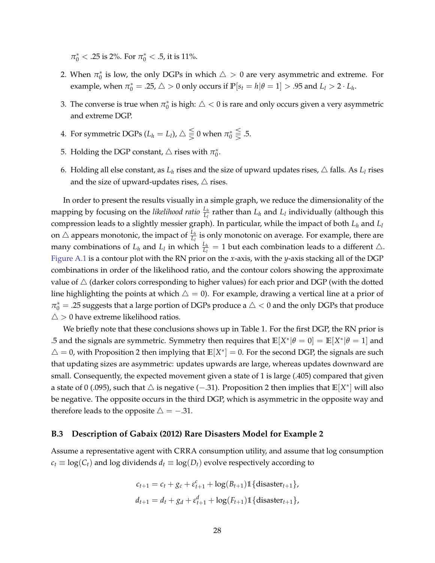$\pi_0^* < .25$  is 2%. For  $\pi_0^* < .5$ , it is 11%.

- 2. When  $\pi_0^*$  is low, the only DGPs in which  $\triangle > 0$  are very asymmetric and extreme. For example, when  $\pi_0^* = .25$ ,  $\triangle > 0$  only occurs if  $\mathbb{P}[s_t = h | \theta = 1] > .95$  and  $L_l > 2 \cdot L_h$ .
- 3. The converse is true when  $\pi_0^*$  is high:  $\triangle < 0$  is rare and only occurs given a very asymmetric and extreme DGP.
- 4. For symmetric DGPs ( $L_h = L_l$ ),  $\triangle \leq 0$  when  $\pi_0^* \leq \frac{1}{\geq}$  .5.
- 5. Holding the DGP constant,  $\triangle$  rises with  $\pi_0^*$ .
- 6. Holding all else constant, as  $L_h$  rises and the size of upward updates rises,  $\triangle$  falls. As  $L_l$  rises and the size of upward-updates rises,  $\triangle$  rises.

In order to present the results visually in a simple graph, we reduce the dimensionality of the mapping by focusing on the *likelihood ratio*  $\frac{L_h}{L_l}$  rather than  $L_h$  and  $L_l$  individually (although this compression leads to a slightly messier graph). In particular, while the impact of both *L<sup>h</sup>* and *L<sup>l</sup>* on  $\triangle$  appears monotonic, the impact of  $\frac{L_h}{L_l}$  is only monotonic on average. For example, there are many combinations of  $L_h$  and  $L_l$  in which  $\frac{L_h}{L_l} = 1$  but each combination leads to a different  $\triangle$ . [Figure A.1](#page-39-0) is a contour plot with the RN prior on the *x*-axis, with the *y*-axis stacking all of the DGP combinations in order of the likelihood ratio, and the contour colors showing the approximate value of  $\triangle$  (darker colors corresponding to higher values) for each prior and DGP (with the dotted line highlighting the points at which  $\Delta = 0$ ). For example, drawing a vertical line at a prior of  $\pi^*_0 = .25$  suggests that a large portion of DGPs produce a  $\triangle < 0$  and the only DGPs that produce  $\triangle$  > 0 have extreme likelihood ratios.

We briefly note that these conclusions shows up in Table 1. For the first DGP, the RN prior is .5 and the signals are symmetric. Symmetry then requires that  $\mathbb{E}[X^*|\theta = 0] = \mathbb{E}[X^*|\theta = 1]$  and  $\triangle = 0$ , with Proposition 2 then implying that  $\mathbb{E}[X^*] = 0$ . For the second DGP, the signals are such that updating sizes are asymmetric: updates upwards are large, whereas updates downward are small. Consequently, the expected movement given a state of 1 is large (.405) compared that given a state of 0 (.095), such that △ is negative (−.31). Proposition 2 then implies that **E**[*X* ∗ ] will also be negative. The opposite occurs in the third DGP, which is asymmetric in the opposite way and therefore leads to the opposite  $\triangle = -0.31$ .

### <span id="page-28-0"></span>**B.3 Description of [Gabaix](#page-36-0) [\(2012\)](#page-36-0) Rare Disasters Model for Example 2**

Assume a representative agent with CRRA consumption utility, and assume that log consumption  $c_t \equiv \log(C_t)$  and log dividends  $d_t \equiv \log(D_t)$  evolve respectively according to

$$
c_{t+1} = c_t + g_c + \varepsilon_{t+1}^c + \log(B_{t+1}) \mathbb{1} \{ \text{disaster}_{t+1} \},
$$
  

$$
d_{t+1} = d_t + g_d + \varepsilon_{t+1}^d + \log(F_{t+1}) \mathbb{1} \{ \text{disaster}_{t+1} \},
$$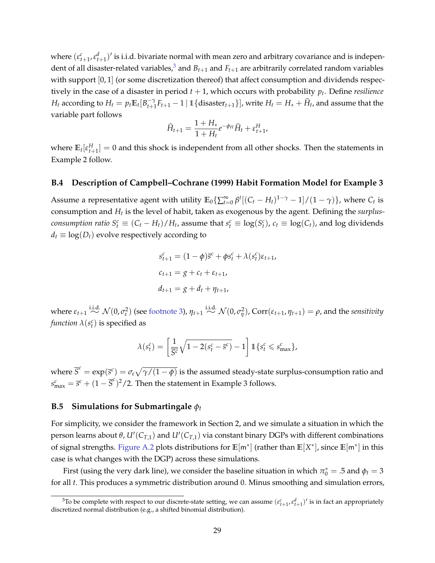where  $(\varepsilon_{t+1}^c, \varepsilon_{t+1}^d)'$  is i.i.d. bivariate normal with mean zero and arbitrary covariance and is indepen-dent of all disaster-related variables,<sup>[3](#page-29-2)</sup> and  $B_{t+1}$  and  $F_{t+1}$  are arbitrarily correlated random variables with support [0, 1] (or some discretization thereof) that affect consumption and dividends respectively in the case of a disaster in period *t* + 1, which occurs with probability *p<sup>t</sup>* . Define *resilience H*<sub>t</sub> according to  $H_t = p_t \mathbb{E}_t [B_{t+1}^{-\gamma}]$  $\int_{t+1}^{-\gamma} F_{t+1} - 1 \mid \mathbb{1} \{\text{disaster}_{t+1}\}\mid$ , write  $H_t = H_* + \widehat{H}_t$ , and assume that the variable part follows

$$
\widehat{H}_{t+1} = \frac{1 + H_*}{1 + H_t} e^{-\phi_H} \widehat{H}_t + \varepsilon_{t+1}^H,
$$

where  $\mathbb{E}_t[\varepsilon_{t+1}^H]=0$  and this shock is independent from all other shocks. Then the statements in Example 2 follow.

### <span id="page-29-0"></span>**B.4 Description of [Campbell–Cochrane](#page-36-1) [\(1999\)](#page-36-1) Habit Formation Model for Example 3**

Assume a representative agent with utility  $\mathbb{E}_0 \{ \sum_{t=0}^{\infty} \beta^t [(C_t - H_t)^{1-\gamma} - 1] / (1 - \gamma) \}$ , where  $C_t$  is consumption and *H<sup>t</sup>* is the level of habit, taken as exogenous by the agent. Defining the *surplus*consumption ratio  $S_t^c \equiv (C_t - H_t)/H_t$ , assume that  $s_t^c \equiv \log(S_t^c)$ ,  $c_t \equiv \log(C_t)$ , and log dividends  $d_t \equiv \log(D_t)$  evolve respectively according to

$$
s_{t+1}^{c} = (1 - \phi)\bar{s}^{c} + \phi s_{t}^{c} + \lambda(s_{t}^{c})\varepsilon_{t+1},
$$
  
\n
$$
c_{t+1} = g + c_{t} + \varepsilon_{t+1},
$$
  
\n
$$
d_{t+1} = g + d_{t} + \eta_{t+1},
$$

 $\mathsf{where} \ \varepsilon_{t+1} \stackrel{\text{i.i.d.}}{\sim} \mathcal{N}(0,\sigma_{\varepsilon}^2) \ \text{(see footnote 3)}, \ \eta_{t+1} \stackrel{\text{i.i.d.}}{\sim} \mathcal{N}(0,\sigma_{\eta}^2) \text{, } \text{Corr}(\varepsilon_{t+1},\eta_{t+1}) = \rho, \text{and the sensitivity}$  $\mathsf{where} \ \varepsilon_{t+1} \stackrel{\text{i.i.d.}}{\sim} \mathcal{N}(0,\sigma_{\varepsilon}^2) \ \text{(see footnote 3)}, \ \eta_{t+1} \stackrel{\text{i.i.d.}}{\sim} \mathcal{N}(0,\sigma_{\eta}^2) \text{, } \text{Corr}(\varepsilon_{t+1},\eta_{t+1}) = \rho, \text{and the sensitivity}$  $\mathsf{where} \ \varepsilon_{t+1} \stackrel{\text{i.i.d.}}{\sim} \mathcal{N}(0,\sigma_{\varepsilon}^2) \ \text{(see footnote 3)}, \ \eta_{t+1} \stackrel{\text{i.i.d.}}{\sim} \mathcal{N}(0,\sigma_{\eta}^2) \text{, } \text{Corr}(\varepsilon_{t+1},\eta_{t+1}) = \rho, \text{and the sensitivity}$ *function*  $\lambda(s_t^c)$  is specified as

$$
\lambda(s_t^c) = \left[\frac{1}{\overline{S^c}}\sqrt{1 - 2(s_t^c - \overline{s}^c)} - 1\right]1\{s_t^c \leq s_{\max}^c\},\,
$$

where  $\overline{S}^c = \exp(\bar{s}^c) = \sigma_\varepsilon\sqrt{\gamma/(1-\phi)}$  is the assumed steady-state surplus-consumption ratio and  $s_{\text{max}}^c = \bar{s}^c + (1 - \bar{s}^c)^2/2$ . Then the statement in Example 3 follows.

#### <span id="page-29-1"></span>**B.5** Simulations for Submartingale  $\phi_t$

For simplicity, we consider the framework in Section 2, and we simulate a situation in which the person learns about *θ*, *U*′ (*CT*,1) and *U*′ (*CT*,1) via constant binary DGPs with different combinations of signal strengths. [Figure A.2](#page-40-0) plots distributions for **E**[m<sup>∗</sup> ] (rather than **E**[*X* ∗ ], since **E**[m<sup>∗</sup> ] in this case is what changes with the DGP) across these simulations.

First (using the very dark line), we consider the baseline situation in which  $\pi_0^* = .5$  and  $\phi_t = 3$ for all *t*. This produces a symmetric distribution around 0. Minus smoothing and simulation errors,

<span id="page-29-2"></span><sup>&</sup>lt;sup>3</sup>To be complete with respect to our discrete-state setting, we can assume  $(\epsilon_{t+1}^c, \epsilon_{t+1}^d)'$  is in fact an appropriately discretized normal distribution (e.g., a shifted binomial distribution).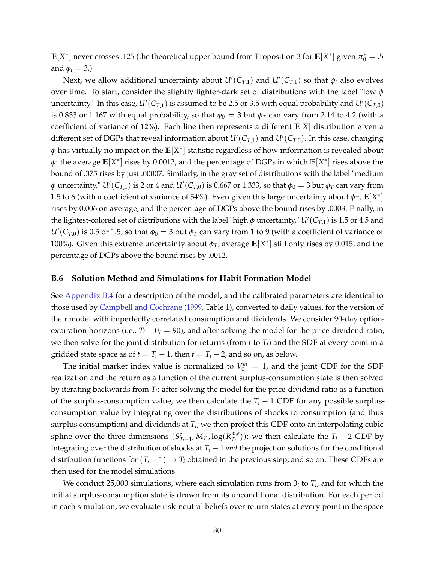$\mathbb{E}[X^*]$  never crosses .125 (the theoretical upper bound from Proposition 3 for  $\mathbb{E}[X^*]$  given  $\pi_0^* = .5$ and  $\phi_t = 3$ .)

Next, we allow additional uncertainty about  $U'(C_{T,1})$  and  $U'(C_{T,1})$  so that  $\phi_t$  also evolves over time. To start, consider the slightly lighter-dark set of distributions with the label "low *ϕ* uncertainty." In this case,  $U'(C_{T,1})$  is assumed to be 2.5 or 3.5 with equal probability and  $U'(C_{T,0})$ is 0.833 or 1.167 with equal probability, so that  $\phi_0 = 3$  but  $\phi_T$  can vary from 2.14 to 4.2 (with a coefficient of variance of 12%). Each line then represents a different **E**[*X*] distribution given a different set of DGPs that reveal information about *U*′ (*CT*,1) and *U*′ (*CT*,0). In this case, changing *ϕ* has virtually no impact on the **E**[*X* ∗ ] statistic regardless of how information is revealed about  $\phi$ : the average  $\mathbb{E}[X^*]$  rises by 0.0012, and the percentage of DGPs in which  $\mathbb{E}[X^*]$  rises above the bound of .375 rises by just .00007. Similarly, in the gray set of distributions with the label "medium  $\phi$  uncertainty,"  $U'(C_{T,1})$  is 2 or 4 and  $U'(C_{T,0})$  is 0.667 or 1.333, so that  $\phi_0 =$  3 but  $\phi_T$  can vary from 1.5 to 6 (with a coefficient of variance of 54%). Even given this large uncertainty about  $\phi_T$ ,  $\mathbb{E}[X^*]$ rises by 0.006 on average, and the percentage of DGPs above the bound rises by .0003. Finally, in the lightest-colored set of distributions with the label "high  $\phi$  uncertainty,"  $U'(C_{T,1})$  is 1.5 or 4.5 and  $U'(C_{T,0})$  is 0.5 or 1.5, so that  $\phi_0 = 3$  but  $\phi_T$  can vary from 1 to 9 (with a coefficient of variance of 100%). Given this extreme uncertainty about  $\phi_T$ , average  $\mathbb{E}[X^*]$  still only rises by 0.015, and the percentage of DGPs above the bound rises by .0012.

#### <span id="page-30-0"></span>**B.6 Solution Method and Simulations for Habit Formation Model**

See [Appendix B.4](#page-29-0) for a description of the model, and the calibrated parameters are identical to those used by [Campbell and Cochrane](#page-36-1) [\(1999,](#page-36-1) Table 1), converted to daily values, for the version of their model with imperfectly correlated consumption and dividends. We consider 90-day optionexpiration horizons (i.e.,  $T_i - 0_i = 90$ ), and after solving the model for the price-dividend ratio, we then solve for the joint distribution for returns (from *t* to *T<sup>i</sup>* ) and the SDF at every point in a gridded state space as of  $t = T_i - 1$ , then  $t = T_i - 2$ , and so on, as below.

The initial market index value is normalized to  $V_{0_i}^m = 1$ , and the joint CDF for the SDF realization and the return as a function of the current surplus-consumption state is then solved by iterating backwards from *T<sup>i</sup>* : after solving the model for the price-dividend ratio as a function of the surplus-consumption value, we then calculate the  $T_i - 1$  CDF for any possible surplusconsumption value by integrating over the distributions of shocks to consumption (and thus surplus consumption) and dividends at *T<sup>i</sup>* ; we then project this CDF onto an interpolating cubic spline over the three dimensions  $(S_{T_i-1}^c, M_{T_i}, \log(R_{T_i}^{m,e}))$  $T^{m,e}_{T_i}$ )); we then calculate the  $T_i - 2$  CDF by integrating over the distribution of shocks at  $T_i - 1$  *and* the projection solutions for the conditional distribution functions for  $(T_i - 1) \rightarrow T_i$  obtained in the previous step; and so on. These CDFs are then used for the model simulations.

We conduct 25,000 simulations, where each simulation runs from  $0_i$  to  $T_i$ , and for which the initial surplus-consumption state is drawn from its unconditional distribution. For each period in each simulation, we evaluate risk-neutral beliefs over return states at every point in the space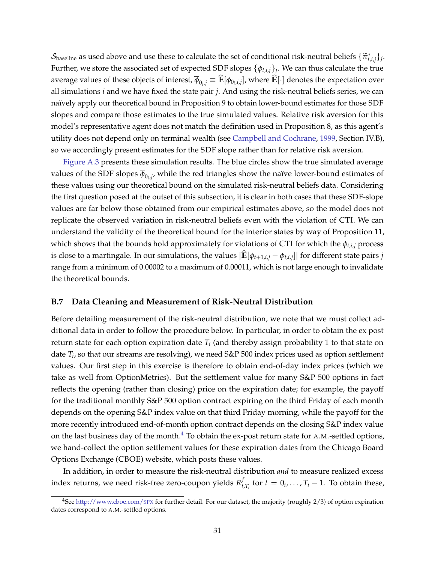$S_{\text{baseline}}$  as used above and use these to calculate the set of conditional risk-neutral beliefs  $\{\tilde{\pi}_{t,i,j}^*\}_i$ . Further, we store the associated set of expected SDF slopes {*ϕt*,*i*,*j*}*<sup>j</sup>* . We can thus calculate the true average values of these objects of interest,  $\overline{\phi}_{0_i,j}\equiv\mathbb{E}[\phi_{0_i,i,j}]$ , where  $\mathbb{E}[\cdot]$  denotes the expectation over all simulations *i* and we have fixed the state pair *j*. And using the risk-neutral beliefs series, we can naïvely apply our theoretical bound in Proposition 9 to obtain lower-bound estimates for those SDF slopes and compare those estimates to the true simulated values. Relative risk aversion for this model's representative agent does not match the definition used in Proposition 8, as this agent's utility does not depend only on terminal wealth (see [Campbell and Cochrane,](#page-36-1) [1999,](#page-36-1) Section IV.B), so we accordingly present estimates for the SDF slope rather than for relative risk aversion.

[Figure A.3](#page-41-0) presents these simulation results. The blue circles show the true simulated average values of the SDF slopes  $\phi_{0_i,j'}$  while the red triangles show the naïve lower-bound estimates of these values using our theoretical bound on the simulated risk-neutral beliefs data. Considering the first question posed at the outset of this subsection, it is clear in both cases that these SDF-slope values are far below those obtained from our empirical estimates above, so the model does not replicate the observed variation in risk-neutral beliefs even with the violation of CTI. We can understand the validity of the theoretical bound for the interior states by way of Proposition 11, which shows that the bounds hold approximately for violations of CTI for which the *ϕt*,*i*,*<sup>j</sup>* process is close to a martingale. In our simulations, the values  $|\mathbb{E}[\phi_{t+1,i,j} - \phi_{t,i,j}]|$  for different state pairs *j* range from a minimum of 0.00002 to a maximum of 0.00011, which is not large enough to invalidate the theoretical bounds.

#### <span id="page-31-0"></span>**B.7 Data Cleaning and Measurement of Risk-Neutral Distribution**

Before detailing measurement of the risk-neutral distribution, we note that we must collect additional data in order to follow the procedure below. In particular, in order to obtain the ex post return state for each option expiration date *T<sup>i</sup>* (and thereby assign probability 1 to that state on date *T<sup>i</sup>* , so that our streams are resolving), we need S&P 500 index prices used as option settlement values. Our first step in this exercise is therefore to obtain end-of-day index prices (which we take as well from OptionMetrics). But the settlement value for many S&P 500 options in fact reflects the opening (rather than closing) price on the expiration date; for example, the payoff for the traditional monthly S&P 500 option contract expiring on the third Friday of each month depends on the opening S&P index value on that third Friday morning, while the payoff for the more recently introduced end-of-month option contract depends on the closing S&P index value on the last business day of the month.<sup>[4](#page-31-1)</sup> To obtain the ex-post return state for A.M.-settled options, we hand-collect the option settlement values for these expiration dates from the Chicago Board Options Exchange (CBOE) website, which posts these values.

In addition, in order to measure the risk-neutral distribution *and* to measure realized excess index returns, we need risk-free zero-coupon yields *R f*  $\mathcal{F}_{t,T_i}$  for  $t = 0_i, \ldots, T_i - 1$ . To obtain these,

<span id="page-31-1"></span><sup>&</sup>lt;sup>4</sup>See [http://www.cboe.com/](http://www.cboe.com/spx)SPX for further detail. For our dataset, the majority (roughly  $2/3$ ) of option expiration dates correspond to A.M.-settled options.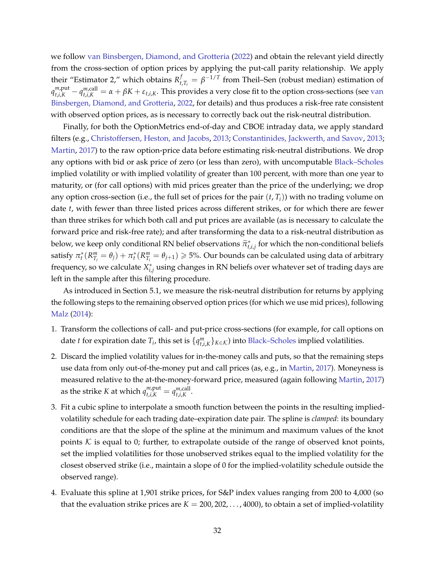we follow [van Binsbergen, Diamond, and Grotteria](#page-36-8) [\(2022\)](#page-36-8) and obtain the relevant yield directly from the cross-section of option prices by applying the put-call parity relationship. We apply their "Estimator 2," which obtains *R f*  $t_{t,T_i} = \beta^{-1/T}$  from Theil–Sen (robust median) estimation of  $q_{t,i,K}^{m,put}-q_{t,i,K}^{m,call}=\alpha+\beta K+\varepsilon_{t,i,K}.$  This provides a very close fit to the option cross-sections (see [van](#page-36-8) [Binsbergen, Diamond, and Grotteria,](#page-36-8) [2022,](#page-36-8) for details) and thus produces a risk-free rate consistent with observed option prices, as is necessary to correctly back out the risk-neutral distribution.

Finally, for both the OptionMetrics end-of-day and CBOE intraday data, we apply standard filters (e.g., [Christoffersen, Heston, and Jacobs,](#page-36-9) [2013;](#page-36-9) [Constantinides, Jackwerth, and Savov,](#page-36-10) [2013;](#page-36-10) [Martin,](#page-37-0) [2017\)](#page-37-0) to the raw option-price data before estimating risk-neutral distributions. We drop any options with bid or ask price of zero (or less than zero), with uncomputable [Black–Scholes](#page-36-11) implied volatility or with implied volatility of greater than 100 percent, with more than one year to maturity, or (for call options) with mid prices greater than the price of the underlying; we drop any option cross-section (i.e., the full set of prices for the pair  $(t, T_i)$ ) with no trading volume on date *t*, with fewer than three listed prices across different strikes, or for which there are fewer than three strikes for which both call and put prices are available (as is necessary to calculate the forward price and risk-free rate); and after transforming the data to a risk-neutral distribution as below, we keep only conditional RN belief observations  $\tilde{\pi}_{t,i,j}^*$  for which the non-conditional beliefs satisfy  $\pi_t^*(R_{T_i}^m = \theta_j) + \pi_t^*(R_{T_i}^m = \theta_{j+1}) \geqslant 5\%$ . Our bounds can be calculated using data of arbitrary frequency, so we calculate  $X^*_{i,j}$  using changes in RN beliefs over whatever set of trading days are left in the sample after this filtering procedure.

As introduced in Section 5.1, we measure the risk-neutral distribution for returns by applying the following steps to the remaining observed option prices (for which we use mid prices), following [Malz](#page-37-1) [\(2014\)](#page-37-1):

- <span id="page-32-0"></span>1. Transform the collections of call- and put-price cross-sections (for example, for call options on date *t* for expiration date  $T_i$ , this set is  $\{q_{t,i,K}^m\}_{K \in \mathcal{K}}$  into [Black–Scholes](#page-36-11) implied volatilities.
- <span id="page-32-1"></span>2. Discard the implied volatility values for in-the-money calls and puts, so that the remaining steps use data from only out-of-the-money put and call prices (as, e.g., in [Martin,](#page-37-0) [2017\)](#page-37-0). Moneyness is measured relative to the at-the-money-forward price, measured (again following [Martin,](#page-37-0) [2017\)](#page-37-0) as the strike *K* at which  $q_{t,i,K}^{m,\text{put}} = q_{t,i,K}^{m,\text{call}}$ *t*,*i*,*K* .
- <span id="page-32-2"></span>3. Fit a cubic spline to interpolate a smooth function between the points in the resulting impliedvolatility schedule for each trading date–expiration date pair. The spline is *clamped*: its boundary conditions are that the slope of the spline at the minimum and maximum values of the knot points  $K$  is equal to 0; further, to extrapolate outside of the range of observed knot points, set the implied volatilities for those unobserved strikes equal to the implied volatility for the closest observed strike (i.e., maintain a slope of 0 for the implied-volatility schedule outside the observed range).
- <span id="page-32-3"></span>4. Evaluate this spline at 1,901 strike prices, for S&P index values ranging from 200 to 4,000 (so that the evaluation strike prices are  $K = 200, 202, \ldots, 4000$ , to obtain a set of implied-volatility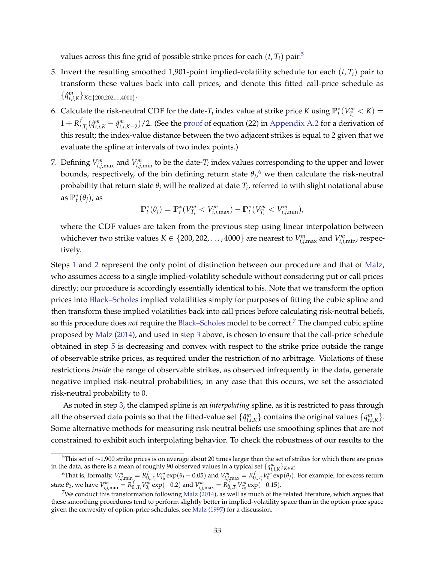values across this fine grid of possible strike prices for each  $(t, T_i)$  pair.<sup>[5](#page-33-0)</sup>

- <span id="page-33-3"></span>5. Invert the resulting smoothed 1,901-point implied-volatility schedule for each  $(t, T_i)$  pair to transform these values back into call prices, and denote this fitted call-price schedule as  $\{\hat{q}^m_{t,i,K}\}_{K \in \{200, 202, ..., 4000\}}$ .
- <span id="page-33-4"></span>6. Calculate the risk-neutral CDF for the date- $T_i$  index value at strike price *K* using  $\mathbb{P}_t^*(V_{T_i}^m < K)$  =  $1 + R_t^f$  $\int_{t,T_i}^{t}(\hat{q}^m_{t,i,K}-\hat{q}^m_{t,i,K-2})/2$ . (See the [proof](#page-7-0) of equation (22) in [Appendix A.2](#page-7-0) for a derivation of this result; the index-value distance between the two adjacent strikes is equal to 2 given that we evaluate the spline at intervals of two index points.)
- 7. Defining  $V_{i,j,\text{max}}^m$  and  $V_{i,j,\text{min}}^m$  to be the date- $T_i$  index values corresponding to the upper and lower bounds, respectively, of the bin defining return state  $\theta_j$ , we then calculate the risk-neutral probability that return state  $\theta_j$  will be realized at date  $T_i$ , referred to with slight notational abuse as  $\mathbb{P}_t^*(\theta_j)$ , as

$$
\mathbb{P}_t^*(\theta_j) = \mathbb{P}_t^*(V_{T_i}^m < V_{i,j,\max}^m) - \mathbb{P}_t^*(V_{T_i}^m < V_{i,j,\min}^m),
$$

where the CDF values are taken from the previous step using linear interpolation between whichever two strike values  $K \in \{200, 202, \ldots, 4000\}$  are nearest to  $V^m_{i,j,\max}$  and  $V^m_{i,j,\min}$ , respectively.

Steps [1](#page-32-0) and [2](#page-32-1) represent the only point of distinction between our procedure and that of [Malz,](#page-37-1) who assumes access to a single implied-volatility schedule without considering put or call prices directly; our procedure is accordingly essentially identical to his. Note that we transform the option prices into [Black–Scholes](#page-36-11) implied volatilities simply for purposes of fitting the cubic spline and then transform these implied volatilities back into call prices before calculating risk-neutral beliefs, so this procedure does *not* require the [Black–Scholes](#page-36-11) model to be correct.[7](#page-33-2) The clamped cubic spline proposed by [Malz](#page-37-1) [\(2014\)](#page-37-1), and used in step [3](#page-32-2) above, is chosen to ensure that the call-price schedule obtained in step [5](#page-33-3) is decreasing and convex with respect to the strike price outside the range of observable strike prices, as required under the restriction of no arbitrage. Violations of these restrictions *inside* the range of observable strikes, as observed infrequently in the data, generate negative implied risk-neutral probabilities; in any case that this occurs, we set the associated risk-neutral probability to 0.

As noted in step [3,](#page-32-2) the clamped spline is an *interpolating* spline, as it is restricted to pass through all the observed data points so that the fitted-value set  $\{\hat{q}^m_{t,i,K}\}$  contains the original values  $\{q^m_{t,i,K}\}$ . Some alternative methods for measuring risk-neutral beliefs use smoothing splines that are not constrained to exhibit such interpolating behavior. To check the robustness of our results to the

<span id="page-33-0"></span><sup>&</sup>lt;sup>5</sup>This set of ∼1,900 strike prices is on average about 20 times larger than the set of strikes for which there are prices in the data, as there is a mean of roughly 90 observed values in a typical set  $\{q_{t,i,K}^m\}_{K\in\mathcal{K}}$ .

<span id="page-33-1"></span><sup>&</sup>lt;sup>6</sup>That is, formally,  $V_{i,j,\min}^m=R_{0_i,T_i}^fV_{T_0}^m\exp(\theta_j-0.05)$  and  $V_{i,j,\max}^m=R_{0_i,T_i}^fV_{0_i}^m\exp(\theta_j).$  For example, for excess return state  $\theta_2$ , we have  $V_{i,j,\text{min}}^m = R_{0_i,T_i}^f V_{0_i}^m \exp(-0.2)$  and  $V_{i,j,\text{max}}^m = R_{0_i,T_i}^f V_{T_0}^m \exp(-0.15)$ .

<span id="page-33-2"></span><sup>&</sup>lt;sup>7</sup>We conduct this transformation following [Malz](#page-37-1) [\(2014\)](#page-37-1), as well as much of the related literature, which argues that these smoothing procedures tend to perform slightly better in implied-volatility space than in the option-price space given the convexity of option-price schedules; see [Malz](#page-37-2) [\(1997\)](#page-37-2) for a discussion.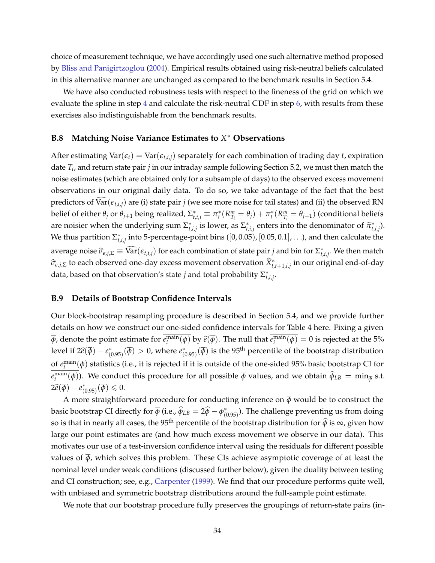choice of measurement technique, we have accordingly used one such alternative method proposed by [Bliss and Panigirtzoglou](#page-36-12) [\(2004\)](#page-36-12). Empirical results obtained using risk-neutral beliefs calculated in this alternative manner are unchanged as compared to the benchmark results in Section 5.4.

We have also conducted robustness tests with respect to the fineness of the grid on which we evaluate the spline in step [4](#page-32-3) and calculate the risk-neutral CDF in step [6,](#page-33-4) with results from these exercises also indistinguishable from the benchmark results.

# <span id="page-34-0"></span>**B.8 Matching Noise Variance Estimates to** *X* <sup>∗</sup> **Observations**

After estimating  $Var(\epsilon_t) = Var(\epsilon_{t,i,j})$  separately for each combination of trading day *t*, expiration date *T<sup>i</sup>* , and return state pair *j* in our intraday sample following Section 5.2, we must then match the noise estimates (which are obtained only for a subsample of days) to the observed excess movement observations in our original daily data. To do so, we take advantage of the fact that the best predictors of  $\text{Var}(\epsilon_{t,i,j})$  are (i) state pair *j* (we see more noise for tail states) and (ii) the observed RN belief of either  $\theta_j$  or  $\theta_{j+1}$  being realized,  $\Sigma^*_{t,i,j} \equiv \pi^*_t(R^m_{T_i} = \theta_j) + \pi^*_t(R^m_{T_i} = \theta_{j+1})$  (conditional beliefs are noisier when the underlying sum  $\Sigma_{t,i,j}^*$  is lower, as  $\Sigma_{t,i,j}^*$  enters into the denominator of  $\widetilde{\pi}_{t,i,j}^*$ ). We thus partition  $\Sigma^*_{t,i,j}$  into 5-percentage-point bins  $([0,0.05)$ ,  $[0.05,0.1]$ , . . .), and then calculate the average noise  $\widehat{\sigma}_{\epsilon,j,\Sigma} \equiv \widehat{\text{Var}}(\epsilon_{t,i,j})$  for each combination of state pair *j* and bin for  $\Sigma_{t,i,j}^*$ . We then match  $\hat{\sigma}_{\epsilon,j,\Sigma}$  to each observed one-day excess movement observation  $\hat{X}^*_{t,t+1,i,j}$  in our original end-of-day data, based on that observation's state *j* and total probability Σ ∗ *t*,*i*,*j* .

#### <span id="page-34-1"></span>**B.9 Details of Bootstrap Confidence Intervals**

Our block-bootstrap resampling procedure is described in Section 5.4, and we provide further details on how we construct our one-sided confidence intervals for Table 4 here. Fixing a given  $\overline{\phi}$ , denote the point estimate for  $e_i^{\text{main}}(\phi)$  by  $\hat{e}(\overline{\phi})$ . The null that  $e_i^{\text{main}}(\phi) = 0$  is rejected at the 5% level if  $2\hat{e}(\overline{\phi}) - e^*$  $\chi^{*}_{(0.95)}$  ( $\overline{\phi}$ ) > 0, where *e*<sup>\*</sup><sub>( $\phi$ </sub>  $\widetilde{\mathfrak{g}}_{(0.95)}(\overline{\phi})$  is the 95<sup>th</sup> percentile of the bootstrap distribution of  $e_i^{\text{main}}(\phi)$  statistics (i.e., it is rejected if it is outside of the one-sided 95% basic bootstrap CI for  $e_i^{\text{main}}(\phi)$ ). We conduct this procedure for all possible  $\overline{\phi}$  values, and we obtain  $\widehat{\phi}_{LB} = \min_{\overline{\phi}} s.t.$  $2\widehat{e}(\overline{\phi})-e^*_{(0)}$  $\overline{\overline{\phi}}(0.95)(\overline{\phi})\leqslant 0.$ 

A more straightforward procedure for conducting inference on  $\overline{\phi}$  would be to construct the basic bootstrap CI directly for  $\overline{\phi}$  (i.e.,  $\widehat{\phi}_{LB} = 2\widehat{\phi} - \phi_{(0)}^*$  $^*_{(0.95)}$ ). The challenge preventing us from doing so is that in nearly all cases, the 95<sup>th</sup> percentile of the bootstrap distribution for  $\hat{\phi}$  is  $\infty$ , given how large our point estimates are (and how much excess movement we observe in our data). This motivates our use of a test-inversion confidence interval using the residuals for different possible values of  $\overline{\phi}$ , which solves this problem. These CIs achieve asymptotic coverage of at least the nominal level under weak conditions (discussed further below), given the duality between testing and CI construction; see, e.g., [Carpenter](#page-36-13) [\(1999\)](#page-36-13). We find that our procedure performs quite well, with unbiased and symmetric bootstrap distributions around the full-sample point estimate.

We note that our bootstrap procedure fully preserves the groupings of return-state pairs (in-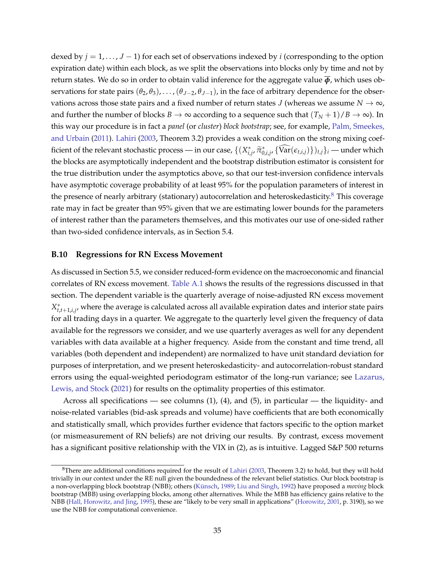dexed by  $j = 1, ..., J - 1$  for each set of observations indexed by *i* (corresponding to the option expiration date) within each block, as we split the observations into blocks only by time and not by return states. We do so in order to obtain valid inference for the aggregate value  $\overline{\phi}$ , which uses observations for state pairs  $(\theta_2, \theta_3), \ldots, (\theta_{J-2}, \theta_{J-1})$ , in the face of arbitrary dependence for the observations across those state pairs and a fixed number of return states *J* (whereas we assume  $N \to \infty$ , and further the number of blocks  $B \to \infty$  according to a sequence such that  $(T_N + 1)/B \to \infty$ ). In this way our procedure is in fact a *panel* (or *cluster*) *block bootstrap*; see, for example, [Palm, Smeekes,](#page-37-3) [and Urbain](#page-37-3) [\(2011\)](#page-37-3). [Lahiri](#page-36-14) [\(2003,](#page-36-14) Theorem 3.2) provides a weak condition on the strong mixing coefficient of the relevant stochastic process — in our case,  $\{(X_{i,j}^*, \tilde{\pi}_{0,i,j}^*, \{\widehat{\text{Var}}(\epsilon_{t,i,j})\})_{t,j}\}_i$  — under which the blocks are asymptotically independent and the bootstrap distribution estimator is consistent for the true distribution under the asymptotics above, so that our test-inversion confidence intervals have asymptotic coverage probability of at least 95% for the population parameters of interest in the presence of nearly arbitrary (stationary) autocorrelation and heteroskedasticity.<sup>[8](#page-35-1)</sup> This coverage rate may in fact be greater than 95% given that we are estimating lower bounds for the parameters of interest rather than the parameters themselves, and this motivates our use of one-sided rather than two-sided confidence intervals, as in Section 5.4.

#### <span id="page-35-0"></span>**B.10 Regressions for RN Excess Movement**

As discussed in Section 5.5, we consider reduced-form evidence on the macroeconomic and financial correlates of RN excess movement. [Table A.1](#page-38-0) shows the results of the regressions discussed in that section. The dependent variable is the quarterly average of noise-adjusted RN excess movement *X* ∗ *t*,*t*+1,*i*,*j* , where the average is calculated across all available expiration dates and interior state pairs for all trading days in a quarter. We aggregate to the quarterly level given the frequency of data available for the regressors we consider, and we use quarterly averages as well for any dependent variables with data available at a higher frequency. Aside from the constant and time trend, all variables (both dependent and independent) are normalized to have unit standard deviation for purposes of interpretation, and we present heteroskedasticity- and autocorrelation-robust standard errors using the equal-weighted periodogram estimator of the long-run variance; see [Lazarus,](#page-36-15) [Lewis, and Stock](#page-36-15) [\(2021\)](#page-36-15) for results on the optimality properties of this estimator.

Across all specifications — see columns  $(1)$ ,  $(4)$ , and  $(5)$ , in particular — the liquidity- and noise-related variables (bid-ask spreads and volume) have coefficients that are both economically and statistically small, which provides further evidence that factors specific to the option market (or mismeasurement of RN beliefs) are not driving our results. By contrast, excess movement has a significant positive relationship with the VIX in (2), as is intuitive. Lagged S&P 500 returns

<span id="page-35-1"></span> $8$ There are additional conditions required for the result of [Lahiri](#page-36-14) [\(2003,](#page-36-14) Theorem 3.2) to hold, but they will hold trivially in our context under the RE null given the boundedness of the relevant belief statistics. Our block bootstrap is a non-overlapping block bootstrap (NBB); others [\(Künsch,](#page-36-16) [1989;](#page-36-16) [Liu and Singh,](#page-37-4) [1992\)](#page-37-4) have proposed a *moving* block bootstrap (MBB) using overlapping blocks, among other alternatives. While the MBB has efficiency gains relative to the NBB [\(Hall, Horowitz, and Jing,](#page-36-17) [1995\)](#page-36-17), these are "likely to be very small in applications" [\(Horowitz,](#page-36-18) [2001,](#page-36-18) p. 3190), so we use the NBB for computational convenience.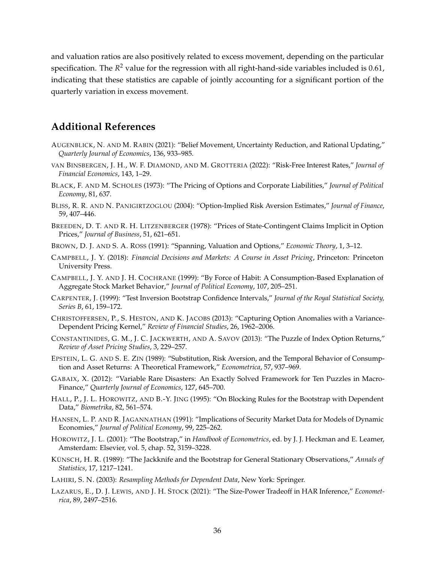and valuation ratios are also positively related to excess movement, depending on the particular specification. The  $R^2$  value for the regression with all right-hand-side variables included is 0.61, indicating that these statistics are capable of jointly accounting for a significant portion of the quarterly variation in excess movement.

# **Additional References**

- <span id="page-36-2"></span>AUGENBLICK, N. AND M. RABIN (2021): "Belief Movement, Uncertainty Reduction, and Rational Updating," *Quarterly Journal of Economics*, 136, 933–985.
- <span id="page-36-8"></span>VAN BINSBERGEN, J. H., W. F. DIAMOND, AND M. GROTTERIA (2022): "Risk-Free Interest Rates," *Journal of Financial Economics*, 143, 1–29.
- <span id="page-36-11"></span>BLACK, F. AND M. SCHOLES (1973): "The Pricing of Options and Corporate Liabilities," *Journal of Political Economy*, 81, 637.
- <span id="page-36-12"></span>BLISS, R. R. AND N. PANIGIRTZOGLOU (2004): "Option-Implied Risk Aversion Estimates," *Journal of Finance*, 59, 407–446.
- <span id="page-36-3"></span>BREEDEN, D. T. AND R. H. LITZENBERGER (1978): "Prices of State-Contingent Claims Implicit in Option Prices," *Journal of Business*, 51, 621–651.
- <span id="page-36-4"></span>BROWN, D. J. AND S. A. ROSS (1991): "Spanning, Valuation and Options," *Economic Theory*, 1, 3–12.
- <span id="page-36-6"></span>CAMPBELL, J. Y. (2018): *Financial Decisions and Markets: A Course in Asset Pricing*, Princeton: Princeton University Press.
- <span id="page-36-1"></span>CAMPBELL, J. Y. AND J. H. COCHRANE (1999): "By Force of Habit: A Consumption-Based Explanation of Aggregate Stock Market Behavior," *Journal of Political Economy*, 107, 205–251.
- <span id="page-36-13"></span>CARPENTER, J. (1999): "Test Inversion Bootstrap Confidence Intervals," *Journal of the Royal Statistical Society, Series B*, 61, 159–172.
- <span id="page-36-9"></span>CHRISTOFFERSEN, P., S. HESTON, AND K. JACOBS (2013): "Capturing Option Anomalies with a Variance-Dependent Pricing Kernel," *Review of Financial Studies*, 26, 1962–2006.
- <span id="page-36-10"></span>CONSTANTINIDES, G. M., J. C. JACKWERTH, AND A. SAVOV (2013): "The Puzzle of Index Option Returns," *Review of Asset Pricing Studies*, 3, 229–257.
- <span id="page-36-5"></span>EPSTEIN, L. G. AND S. E. ZIN (1989): "Substitution, Risk Aversion, and the Temporal Behavior of Consumption and Asset Returns: A Theoretical Framework," *Econometrica*, 57, 937–969.
- <span id="page-36-0"></span>GABAIX, X. (2012): "Variable Rare Disasters: An Exactly Solved Framework for Ten Puzzles in Macro-Finance," *Quarterly Journal of Economics*, 127, 645–700.
- <span id="page-36-17"></span>HALL, P., J. L. HOROWITZ, AND B.-Y. JING (1995): "On Blocking Rules for the Bootstrap with Dependent Data," *Biometrika*, 82, 561–574.
- <span id="page-36-7"></span>HANSEN, L. P. AND R. JAGANNATHAN (1991): "Implications of Security Market Data for Models of Dynamic Economies," *Journal of Political Economy*, 99, 225–262.
- <span id="page-36-18"></span>HOROWITZ, J. L. (2001): "The Bootstrap," in *Handbook of Econometrics*, ed. by J. J. Heckman and E. Leamer, Amsterdam: Elsevier, vol. 5, chap. 52, 3159–3228.
- <span id="page-36-16"></span>KÜNSCH, H. R. (1989): "The Jackknife and the Bootstrap for General Stationary Observations," *Annals of Statistics*, 17, 1217–1241.
- <span id="page-36-14"></span>LAHIRI, S. N. (2003): *Resampling Methods for Dependent Data*, New York: Springer.
- <span id="page-36-15"></span>LAZARUS, E., D. J. LEWIS, AND J. H. STOCK (2021): "The Size-Power Tradeoff in HAR Inference," *Econometrica*, 89, 2497–2516.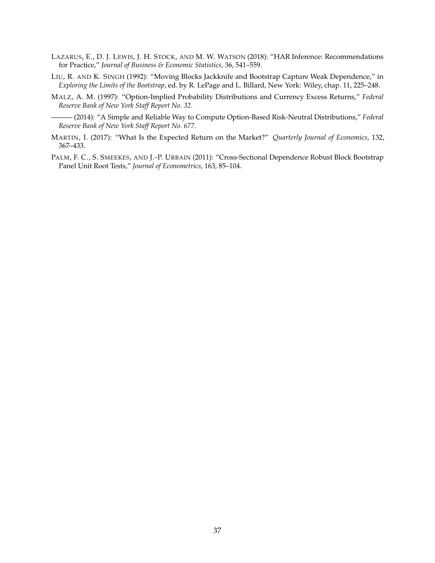- <span id="page-37-5"></span>LAZARUS, E., D. J. LEWIS, J. H. STOCK, AND M. W. WATSON (2018): "HAR Inference: Recommendations for Practice," *Journal of Business & Economic Statistics*, 36, 541–559.
- <span id="page-37-4"></span>LIU, R. AND K. SINGH (1992): "Moving Blocks Jackknife and Bootstrap Capture Weak Dependence," in *Exploring the Limits of the Bootstrap*, ed. by R. LePage and L. Billard, New York: Wiley, chap. 11, 225–248.
- <span id="page-37-2"></span><span id="page-37-1"></span>MALZ, A. M. (1997): "Option-Implied Probability Distributions and Currency Excess Returns," *Federal Reserve Bank of New York Staff Report No. 32*.
	- ——— (2014): "A Simple and Reliable Way to Compute Option-Based Risk-Neutral Distributions," *Federal Reserve Bank of New York Staff Report No. 677*.
- <span id="page-37-0"></span>MARTIN, I. (2017): "What Is the Expected Return on the Market?" *Quarterly Journal of Economics*, 132, 367–433.
- <span id="page-37-3"></span>PALM, F. C., S. SMEEKES, AND J.-P. URBAIN (2011): "Cross-Sectional Dependence Robust Block Bootstrap Panel Unit Root Tests," *Journal of Econometrics*, 163, 85–104.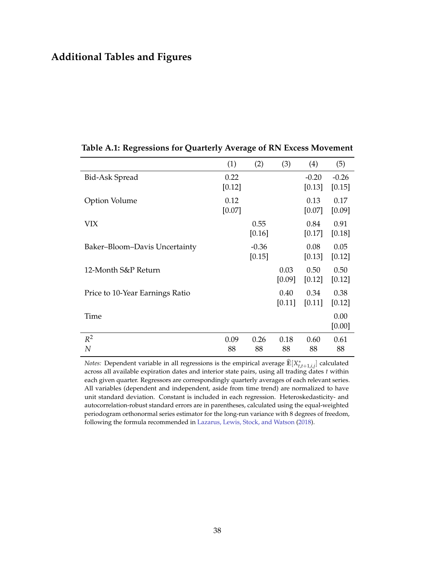# **Additional Tables and Figures**

<span id="page-38-0"></span>

|                                 | (1)            | (2)               | (3)            | (4)               | (5)               |
|---------------------------------|----------------|-------------------|----------------|-------------------|-------------------|
| Bid-Ask Spread                  | 0.22<br>[0.12] |                   |                | $-0.20$<br>[0.13] | $-0.26$<br>[0.15] |
| <b>Option Volume</b>            | 0.12<br>[0.07] |                   |                | 0.13<br>[0.07]    | 0.17<br>[0.09]    |
| VIX                             |                | 0.55<br>[0.16]    |                | 0.84<br>[0.17]    | 0.91<br>$[0.18]$  |
| Baker–Bloom–Davis Uncertainty   |                | $-0.36$<br>[0.15] |                | 0.08<br>[0.13]    | 0.05<br>[0.12]    |
| 12-Month S&P Return             |                |                   | 0.03<br>[0.09] | 0.50<br>[0.12]    | 0.50<br>[0.12]    |
| Price to 10-Year Earnings Ratio |                |                   | 0.40<br>[0.11] | 0.34<br>[0.11]    | 0.38<br>[0.12]    |
| Time                            |                |                   |                |                   | 0.00<br>[0.00]    |
| $R^2$<br>N                      | 0.09<br>88     | 0.26<br>88        | 0.18<br>88     | 0.60<br>88        | 0.61<br>88        |

**Table A.1: Regressions for Quarterly Average of RN Excess Movement**

*Notes:* Dependent variable in all regressions is the empirical average  $\widehat{\mathbb{E}}[X^*_{t,t+1,i,j}]$  calculated across all available expiration dates and interior state pairs, using all trading dates *t* within each given quarter. Regressors are correspondingly quarterly averages of each relevant series. All variables (dependent and independent, aside from time trend) are normalized to have unit standard deviation. Constant is included in each regression. Heteroskedasticity- and autocorrelation-robust standard errors are in parentheses, calculated using the equal-weighted periodogram orthonormal series estimator for the long-run variance with 8 degrees of freedom, following the formula recommended in [Lazarus, Lewis, Stock, and Watson](#page-37-5) [\(2018\)](#page-37-5).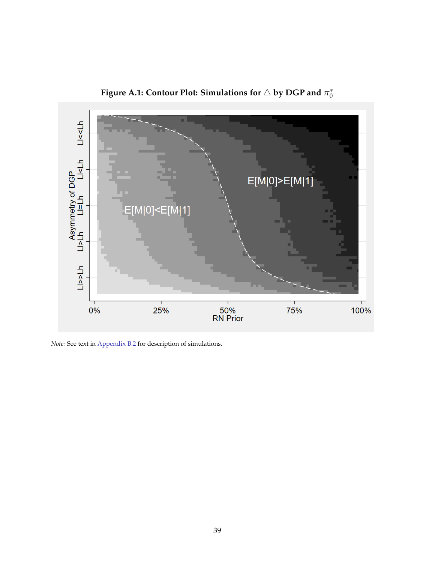<span id="page-39-0"></span>

**Figure A.1: Contour Plot: Simulations for** △ **by DGP and** *π* ∗ 0

*Note:* See text in [Appendix B.2](#page-27-0) for description of simulations.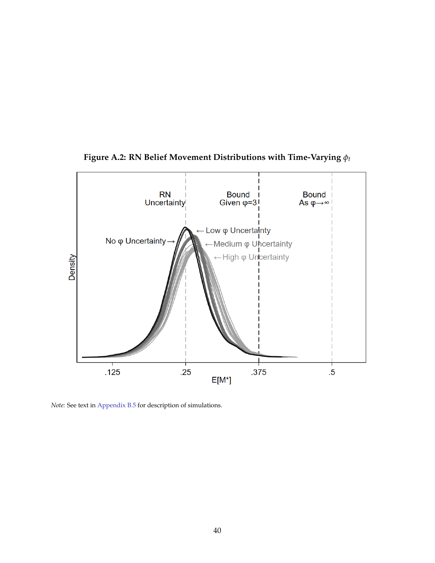<span id="page-40-0"></span>

**Figure A.2: RN Belief Movement Distributions with Time-Varying** *ϕ<sup>t</sup>*

*Note:* See text in [Appendix B.5](#page-29-1) for description of simulations.